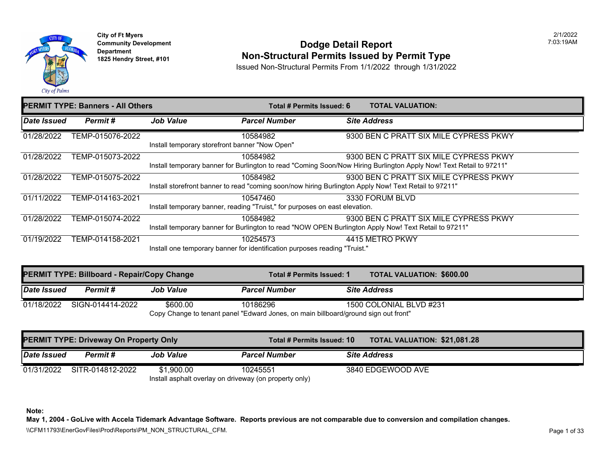

#### **Community Development Community Development Community Development 1825 Non-Structural Permits Issued by Permit Type**

Issued Non-Structural Permits From 1/1/2022 through 1/31/2022

|             | <b>PERMIT TYPE: Banners - All Others</b> |                  | Total # Permits Issued: 6                                                                              | <b>TOTAL VALUATION:</b>       |
|-------------|------------------------------------------|------------------|--------------------------------------------------------------------------------------------------------|-------------------------------|
| Date Issued | Permit#                                  | <b>Job Value</b> | <b>Parcel Number</b>                                                                                   | <b>Site Address</b>           |
| 01/28/2022  | TEMP-015076-2022                         |                  | 10584982                                                                                               | 9300 BEN C PRATT SIX MILE CYP |
|             |                                          |                  | Install temporary storefront banner "Now Open"                                                         |                               |
| 01/28/2022  | TEMP-015073-2022                         |                  | 10584982                                                                                               | 9300 BEN C PRATT SIX MILE CYP |
|             |                                          |                  | Install temporary banner for Burlington to read "Coming Soon/Now Hiring Burlington Apply Now! Text Ret |                               |
| 01/28/2022  | TEMP-015075-2022                         |                  | 10584982                                                                                               | 9300 BEN C PRATT SIX MILE CYP |
|             |                                          |                  | Install storefront banner to read "coming soon/now hiring Burlington Apply Now! Text Retail to 97211"  |                               |
| 01/11/2022  | TEMP-014163-2021                         |                  | 10547460                                                                                               | 3330 FORUM BLVD               |
|             |                                          |                  | Install temporary banner, reading "Truist," for purposes on east elevation.                            |                               |
| 01/28/2022  | TEMP-015074-2022                         |                  | 10584982                                                                                               | 9300 BEN C PRATT SIX MILE CYP |
|             |                                          |                  | Install temporary banner for Burlington to read "NOW OPEN Burlington Apply Now! Text Retail to 97211"  |                               |
| 01/19/2022  | TEMP-014158-2021                         |                  | 10254573                                                                                               | 4415 METRO PKWY               |
|             |                                          |                  | Install one temporary banner for identification purposes reading "Truist."                             |                               |

|             | <b>PERMIT TYPE: Billboard - Repair/Copy Change</b> |                  | Total # Permits Issued: 1                                                                       | <b>TOTAL VALUATION: \$600.00</b> |
|-------------|----------------------------------------------------|------------------|-------------------------------------------------------------------------------------------------|----------------------------------|
| Date Issued | Permit #                                           | <b>Job Value</b> | <b>Parcel Number</b>                                                                            | <b>Site Address</b>              |
| 01/18/2022  | SIGN-014414-2022                                   | \$600.00         | 10186296<br>Copy Change to tenant panel "Edward Jones, on main billboard/ground sign out front" | 1500 COLONIAL BLVD #231          |

|             | <b>PERMIT TYPE: Driveway On Property Only</b> |                  | Total # Permits Issued: 10                             | <b>TOTAL VALUATION: \$21,081</b> |  |
|-------------|-----------------------------------------------|------------------|--------------------------------------------------------|----------------------------------|--|
| Date Issued | <b>Permit #</b>                               | <b>Job Value</b> | <b>Parcel Number</b>                                   | <b>Site Address</b>              |  |
| 01/31/2022  | SITR-014812-2022                              | \$1.900.00       | 10245551                                               | 3840 EDGEWOOD AVE                |  |
|             |                                               |                  | Install asphalt overlay on driveway (on property only) |                                  |  |

**Note:**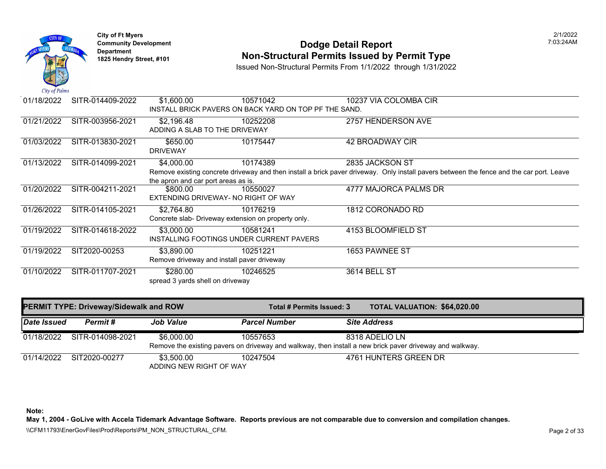

## **Community Development 1825 Community Development 1825 Hendry Street, #101** 203:24AM **Department Non-Structural Permits Issued by Permit Type** 1825 Hendry Street, #101

Issued Non-Structural Permits From 1/1/2022 through 1/31/2022

| 01/18/2022  | SITR-014409-2022                       | \$1,600.00                                          | 10571042                                              | 10237 VIA COLOMBA CIR                                                                                                                    |
|-------------|----------------------------------------|-----------------------------------------------------|-------------------------------------------------------|------------------------------------------------------------------------------------------------------------------------------------------|
|             |                                        |                                                     | INSTALL BRICK PAVERS ON BACK YARD ON TOP PF THE SAND. |                                                                                                                                          |
| 01/21/2022  | SITR-003956-2021                       | \$2,196.48                                          | 10252208                                              | 2757 HENDERSON AVE                                                                                                                       |
|             |                                        | ADDING A SLAB TO THE DRIVEWAY                       |                                                       |                                                                                                                                          |
| 01/03/2022  | SITR-013830-2021                       | \$650.00                                            | 10175447                                              | 42 BROADWAY CIR                                                                                                                          |
|             |                                        | <b>DRIVEWAY</b>                                     |                                                       |                                                                                                                                          |
| 01/13/2022  | SITR-014099-2021                       | \$4,000.00                                          | 10174389                                              | 2835 JACKSON ST                                                                                                                          |
|             |                                        |                                                     |                                                       | Remove existing concrete driveway and then install a brick paver driveway. Only install pavers between the fence and the car port. Leave |
|             |                                        | the apron and car port areas as is.                 |                                                       |                                                                                                                                          |
| 01/20/2022  | SITR-004211-2021                       | \$800.00                                            | 10550027                                              | 4777 MAJORCA PALMS DR                                                                                                                    |
|             |                                        | EXTENDING DRIVEWAY- NO RIGHT OF WAY                 |                                                       |                                                                                                                                          |
| 01/26/2022  | SITR-014105-2021                       | \$2,764.80                                          | 10176219                                              | 1812 CORONADO RD                                                                                                                         |
|             |                                        | Concrete slab- Driveway extension on property only. |                                                       |                                                                                                                                          |
| 01/19/2022  | SITR-014618-2022                       | \$3,000.00                                          | 10581241                                              | 4153 BLOOMFIELD ST                                                                                                                       |
|             |                                        |                                                     | INSTALLING FOOTINGS UNDER CURRENT PAVERS              |                                                                                                                                          |
| 01/19/2022  | SIT2020-00253                          | \$3,890.00                                          | 10251221                                              | 1653 PAWNEE ST                                                                                                                           |
|             |                                        | Remove driveway and install paver driveway          |                                                       |                                                                                                                                          |
| 01/10/2022  | SITR-011707-2021                       | \$280.00                                            | 10246525                                              | 3614 BELL ST                                                                                                                             |
|             |                                        | spread 3 yards shell on driveway                    |                                                       |                                                                                                                                          |
|             |                                        |                                                     |                                                       |                                                                                                                                          |
|             | PERMIT TYPE: Driveway/Sidewalk and ROW |                                                     | Total # Permits Issued: 3                             | TOTAL VALUATION: \$64,020.00                                                                                                             |
|             |                                        |                                                     |                                                       |                                                                                                                                          |
| Date Issued | Permit#                                | <b>Job Value</b>                                    | <b>Parcel Number</b>                                  | <b>Site Address</b>                                                                                                                      |
| 01/18/2022  | SITR-014098-2021                       | \$6,000.00                                          | 10557653                                              | 8318 ADELIO LN                                                                                                                           |
|             |                                        |                                                     |                                                       | Remove the existing pavers on driveway and walkway, then install a new brick paver driveway and walkway.                                 |
| 01/14/2022  | SIT2020-00277                          | \$3,500.00                                          | 10247504                                              | 4761 HUNTERS GREEN DR                                                                                                                    |
|             |                                        | ADDING NEW RIGHT OF WAY                             |                                                       |                                                                                                                                          |

**Note:** 

**May 1, 2004 - GoLive with Accela Tidemark Advantage Software. Reports previous are not comparable due to conversion and compilation changes.** 

\\CFM11793\EnerGovFiles\Prod\Reports\PM\_NON\_STRUCTURAL\_CFM.<br>Page 2 of 33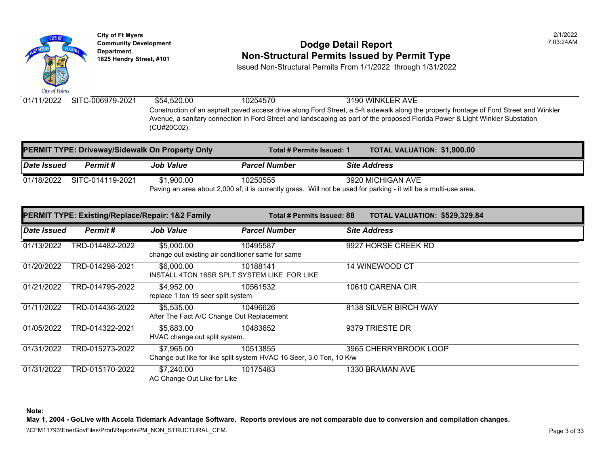

# **Community Development 1825 Hendright Community Development Department Department Department Am Dodge Detail Report Department Type 1825 Hendry Street, #101 <b>Non-Structural Permits Issued by Permit Type**

Issued Non-Structural Permits From 1/1/2022 through 1/31/2022

01/11/2022 SITC-006979-2021 \$54,520.00 10254570 3190 WINKLER AVE Construction of an asphalt paved access drive along Ford Street, a 5-ft sidewalk along the property fronta Avenue, a sanitary connection in Ford Street and landscaping as part of the proposed Florida Power & Li (CU#20C02).

|             | <b>PERMIT TYPE: Driveway/Sidewalk On Property Only</b> |                  | Total # Permits Issued: 1 | <b>TOTAL VALUATION: \$1,900.0</b>                                                                               |
|-------------|--------------------------------------------------------|------------------|---------------------------|-----------------------------------------------------------------------------------------------------------------|
| Date Issued | <b>Permit</b> #                                        | <b>Job Value</b> | <b>Parcel Number</b>      | <b>Site Address</b>                                                                                             |
| 01/18/2022  | SITC-014119-2021                                       | \$1.900.00       | 10250555                  | 3920 MICHIGAN AVE                                                                                               |
|             |                                                        |                  |                           | Paving an area about 2,000 sf; it is currently grass. Will not be used for parking - it will be a multi-use are |

|             | PERMIT TYPE: Existing/Replace/Repair: 1&2 Family |                                                                 | Total # Permits Issued: 88                                                      | <b>TOTAL VALUATION: \$529,32</b> |
|-------------|--------------------------------------------------|-----------------------------------------------------------------|---------------------------------------------------------------------------------|----------------------------------|
| Date Issued | Permit#                                          | <b>Job Value</b>                                                | <b>Parcel Number</b>                                                            | <b>Site Address</b>              |
| 01/13/2022  | TRD-014482-2022                                  | \$5,000.00<br>change out existing air conditioner same for same | 10495587                                                                        | 9927 HORSE CREEK RD              |
| 01/20/2022  | TRD-014298-2021                                  | \$6,000,00<br>INSTALL 4TON 16SR SPLT SYSTEM LIKE FOR LIKE       | 10188141                                                                        | 14 WINEWOOD CT                   |
| 01/21/2022  | TRD-014795-2022                                  | \$4,952.00<br>replace 1 ton 19 seer split system                | 10561532                                                                        | 10610 CARENA CIR                 |
| 01/11/2022  | TRD-014436-2022                                  | \$5,535.00<br>After The Fact A/C Change Out Replacement         | 10496626                                                                        | 8138 SILVER BIRCH WAY            |
| 01/05/2022  | TRD-014322-2021                                  | \$5,883.00<br>HVAC change out split system.                     | 10483652                                                                        | 9379 TRIESTE DR                  |
| 01/31/2022  | TRD-015273-2022                                  | \$7,965.00                                                      | 10513855<br>Change out like for like split system HVAC 16 Seer, 3.0 Ton, 10 K/w | 3965 CHERRYBROOK LOOP            |
| 01/31/2022  | TRD-015170-2022                                  | \$7,240.00<br>AC Change Out Like for Like                       | 10175483                                                                        | 1330 BRAMAN AVE                  |

**Note:**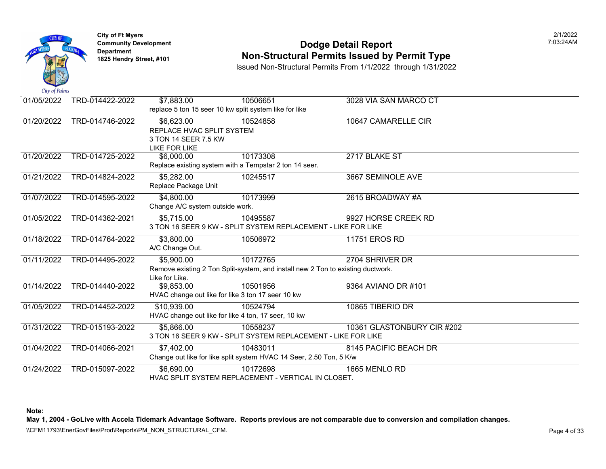

### **Community Development Community Development Community Development Community Dodge Detail Report 1825 Non-Structural Permits Issued by Permit Type**

Issued Non-Structural Permits From 1/1/2022 through 1/31/2022

| City of Fullities |                 |                                                        |                                                                                 |                            |
|-------------------|-----------------|--------------------------------------------------------|---------------------------------------------------------------------------------|----------------------------|
| 01/05/2022        | TRD-014422-2022 | \$7,883.00                                             | 10506651                                                                        | 3028 VIA SAN MARCO CT      |
|                   |                 | replace 5 ton 15 seer 10 kw split system like for like |                                                                                 |                            |
| 01/20/2022        | TRD-014746-2022 | \$6,623.00                                             | 10524858                                                                        | 10647 CAMARELLE CIR        |
|                   |                 | REPLACE HVAC SPLIT SYSTEM                              |                                                                                 |                            |
|                   |                 | 3 TON 14 SEER 7.5 KW                                   |                                                                                 |                            |
|                   |                 | <b>LIKE FOR LIKE</b>                                   |                                                                                 |                            |
| 01/20/2022        | TRD-014725-2022 | \$6,000.00                                             | 10173308                                                                        | 2717 BLAKE ST              |
|                   |                 |                                                        | Replace existing system with a Tempstar 2 ton 14 seer.                          |                            |
| 01/21/2022        | TRD-014824-2022 | \$5,282.00                                             | 10245517                                                                        | 3667 SEMINOLE AVE          |
|                   |                 | Replace Package Unit                                   |                                                                                 |                            |
| 01/07/2022        | TRD-014595-2022 | \$4,800.00                                             | 10173999                                                                        | 2615 BROADWAY #A           |
|                   |                 | Change A/C system outside work.                        |                                                                                 |                            |
| 01/05/2022        | TRD-014362-2021 | \$5,715.00                                             | 10495587                                                                        | 9927 HORSE CREEK RD        |
|                   |                 |                                                        | 3 TON 16 SEER 9 KW - SPLIT SYSTEM REPLACEMENT - LIKE FOR LIKE                   |                            |
| 01/18/2022        | TRD-014764-2022 | \$3,800.00                                             | 10506972                                                                        | 11751 EROS RD              |
|                   |                 | A/C Change Out.                                        |                                                                                 |                            |
| 01/11/2022        | TRD-014495-2022 | \$5,900.00                                             | 10172765                                                                        | 2704 SHRIVER DR            |
|                   |                 |                                                        | Remove existing 2 Ton Split-system, and install new 2 Ton to existing ductwork. |                            |
|                   |                 | Like for Like.                                         |                                                                                 |                            |
| 01/14/2022        | TRD-014440-2022 | \$9,853.00                                             | 10501956                                                                        | 9364 AVIANO DR #101        |
|                   |                 | HVAC change out like for like 3 ton 17 seer 10 kw      |                                                                                 |                            |
| 01/05/2022        | TRD-014452-2022 | \$10,939.00                                            | 10524794                                                                        | 10865 TIBERIO DR           |
|                   |                 | HVAC change out like for like 4 ton, 17 seer, 10 kw    |                                                                                 |                            |
| 01/31/2022        | TRD-015193-2022 | \$5,866.00                                             | 10558237                                                                        | 10361 GLASTONBURY CIR #202 |
|                   |                 |                                                        | 3 TON 16 SEER 9 KW - SPLIT SYSTEM REPLACEMENT - LIKE FOR LIKE                   |                            |
| 01/04/2022        | TRD-014066-2021 | \$7,402.00                                             | 10483011                                                                        | 8145 PACIFIC BEACH DR      |
|                   |                 |                                                        | Change out like for like split system HVAC 14 Seer, 2.50 Ton, 5 K/w             |                            |
| 01/24/2022        | TRD-015097-2022 | \$6,690.00                                             | 10172698                                                                        | 1665 MENLO RD              |
|                   |                 |                                                        | HVAC SPLIT SYSTEM REPLACEMENT - VERTICAL IN CLOSET.                             |                            |

**Note:**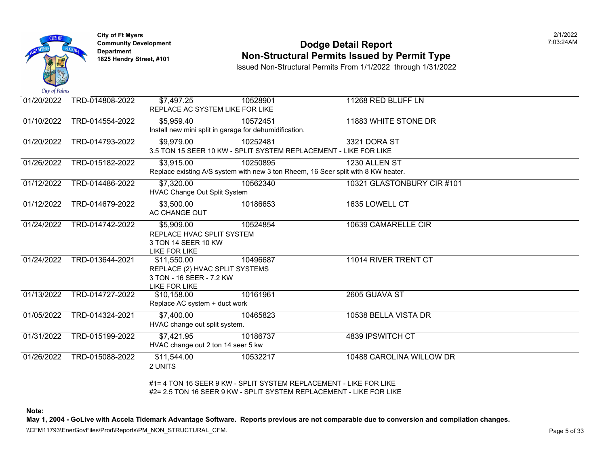

#### **Community Development Dodge Detail Report** 7:03:24AM **Non-Structural Permits Issued by Permit Type**

Issued Non-Structural Permits From 1/1/2022 through 1/31/2022

| 01/20/2022 | TRD-014808-2022 | \$7,497.25                                             | 10528901                                                                          | 11268 RED BLUFF LN         |
|------------|-----------------|--------------------------------------------------------|-----------------------------------------------------------------------------------|----------------------------|
|            |                 | REPLACE AC SYSTEM LIKE FOR LIKE                        |                                                                                   |                            |
| 01/10/2022 | TRD-014554-2022 | \$5,959.40                                             | 10572451                                                                          | 11883 WHITE STONE DR       |
|            |                 | Install new mini split in garage for dehumidification. |                                                                                   |                            |
| 01/20/2022 | TRD-014793-2022 | \$9,979.00                                             | 10252481                                                                          | 3321 DORA ST               |
|            |                 |                                                        | 3.5 TON 15 SEER 10 KW - SPLIT SYSTEM REPLACEMENT - LIKE FOR LIKE                  |                            |
| 01/26/2022 | TRD-015182-2022 | \$3,915.00                                             | 10250895                                                                          | 1230 ALLEN ST              |
|            |                 |                                                        | Replace existing A/S system with new 3 ton Rheem, 16 Seer split with 8 KW heater. |                            |
| 01/12/2022 | TRD-014486-2022 | \$7,320.00                                             | 10562340                                                                          | 10321 GLASTONBURY CIR #101 |
|            |                 | HVAC Change Out Split System                           |                                                                                   |                            |
| 01/12/2022 | TRD-014679-2022 | \$3,500.00                                             | 10186653                                                                          | 1635 LOWELL CT             |
|            |                 | AC CHANGE OUT                                          |                                                                                   |                            |
| 01/24/2022 | TRD-014742-2022 | \$5,909.00                                             | 10524854                                                                          | 10639 CAMARELLE CIR        |
|            |                 | REPLACE HVAC SPLIT SYSTEM                              |                                                                                   |                            |
|            |                 | 3 TON 14 SEER 10 KW                                    |                                                                                   |                            |
|            |                 | <b>LIKE FOR LIKE</b>                                   |                                                                                   |                            |
| 01/24/2022 | TRD-013644-2021 | \$11,550.00                                            | 10496687                                                                          | 11014 RIVER TRENT CT       |
|            |                 | REPLACE (2) HVAC SPLIT SYSTEMS                         |                                                                                   |                            |
|            |                 | 3 TON - 16 SEER - 7.2 KW                               |                                                                                   |                            |
|            |                 | <b>LIKE FOR LIKE</b>                                   |                                                                                   |                            |
| 01/13/2022 | TRD-014727-2022 | \$10,158.00                                            | 10161961                                                                          | 2605 GUAVA ST              |
|            |                 | Replace AC system + duct work                          |                                                                                   |                            |
| 01/05/2022 | TRD-014324-2021 | $\sqrt{$7,400.00}$                                     | 10465823                                                                          | 10538 BELLA VISTA DR       |
|            |                 | HVAC change out split system.                          |                                                                                   |                            |
| 01/31/2022 | TRD-015199-2022 | \$7,421.95                                             | 10186737                                                                          | 4839 IPSWITCH CT           |
|            |                 | HVAC change out 2 ton 14 seer 5 kw                     |                                                                                   |                            |
| 01/26/2022 | TRD-015088-2022 | \$11,544.00                                            | 10532217                                                                          | 10488 CAROLINA WILLOW DR   |
|            |                 | 2 UNITS                                                |                                                                                   |                            |
|            |                 |                                                        | #1= 4 TON 16 SEER 9 KW - SPLIT SYSTEM REPLACEMENT - LIKE FOR LIKE                 |                            |
|            |                 |                                                        | #2= 2.5 TON 16 SEER 9 KW - SPLIT SYSTEM REPLACEMENT - LIKE FOR LIKE               |                            |
|            |                 |                                                        |                                                                                   |                            |

**Note:** 

**May 1, 2004 - GoLive with Accela Tidemark Advantage Software. Reports previous are not comparable due to conversion and compilation changes.** 

\\CFM11793\EnerGovFiles\Prod\Reports\PM\_NON\_STRUCTURAL\_CFM.<br>Page 5 of 33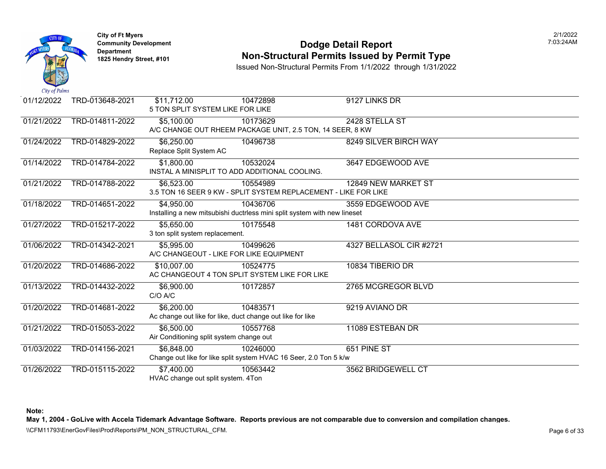

### **Community Development Community Development Community Development Community Dodge Detail Report 1825 Non-Structural Permits Issued by Permit Type**

Issued Non-Structural Permits From 1/1/2022 through 1/31/2022

| 01/12/2022 | TRD-013648-2021 | \$11,712.00                        | 10472898                                                                 | 9127 LINKS DR           |
|------------|-----------------|------------------------------------|--------------------------------------------------------------------------|-------------------------|
|            |                 |                                    | 5 TON SPLIT SYSTEM LIKE FOR LIKE                                         |                         |
| 01/21/2022 | TRD-014811-2022 | \$5,100.00                         | 10173629                                                                 | 2428 STELLA ST          |
|            |                 |                                    | A/C CHANGE OUT RHEEM PACKAGE UNIT, 2.5 TON, 14 SEER, 8 KW                |                         |
| 01/24/2022 | TRD-014829-2022 | \$6,250.00                         | 10496738                                                                 | 8249 SILVER BIRCH WAY   |
|            |                 | Replace Split System AC            |                                                                          |                         |
| 01/14/2022 | TRD-014784-2022 | \$1,800.00                         | 10532024                                                                 | 3647 EDGEWOOD AVE       |
|            |                 |                                    | INSTAL A MINISPLIT TO ADD ADDITIONAL COOLING.                            |                         |
| 01/21/2022 | TRD-014788-2022 | \$6,523.00                         | 10554989                                                                 | 12849 NEW MARKET ST     |
|            |                 |                                    | 3.5 TON 16 SEER 9 KW - SPLIT SYSTEM REPLACEMENT - LIKE FOR LIKE          |                         |
| 01/18/2022 | TRD-014651-2022 | \$4,950.00                         | 10436706                                                                 | 3559 EDGEWOOD AVE       |
|            |                 |                                    | Installing a new mitsubishi ductrless mini split system with new lineset |                         |
| 01/27/2022 | TRD-015217-2022 | \$5,650.00                         | 10175548                                                                 | 1481 CORDOVA AVE        |
|            |                 | 3 ton split system replacement.    |                                                                          |                         |
| 01/06/2022 | TRD-014342-2021 | \$5,995.00                         | 10499626                                                                 | 4327 BELLASOL CIR #2721 |
|            |                 |                                    | A/C CHANGEOUT - LIKE FOR LIKE EQUIPMENT                                  |                         |
| 01/20/2022 | TRD-014686-2022 | \$10,007.00                        | 10524775                                                                 | 10834 TIBERIO DR        |
|            |                 |                                    | AC CHANGEOUT 4 TON SPLIT SYSTEM LIKE FOR LIKE                            |                         |
| 01/13/2022 | TRD-014432-2022 | \$6,900.00                         | 10172857                                                                 | 2765 MCGREGOR BLVD      |
|            |                 | C/O A/C                            |                                                                          |                         |
| 01/20/2022 | TRD-014681-2022 | \$6,200.00                         | 10483571                                                                 | 9219 AVIANO DR          |
|            |                 |                                    | Ac change out like for like, duct change out like for like               |                         |
| 01/21/2022 | TRD-015053-2022 | \$6,500.00                         | 10557768                                                                 | 11089 ESTEBAN DR        |
|            |                 |                                    | Air Conditioning split system change out                                 |                         |
| 01/03/2022 | TRD-014156-2021 | \$6,848.00                         | 10246000                                                                 | 651 PINE ST             |
|            |                 |                                    | Change out like for like split system HVAC 16 Seer, 2.0 Ton 5 k/w        |                         |
| 01/26/2022 | TRD-015115-2022 | \$7,400.00                         | 10563442                                                                 | 3562 BRIDGEWELL CT      |
|            |                 | HVAC change out split system. 4Ton |                                                                          |                         |

**Note:**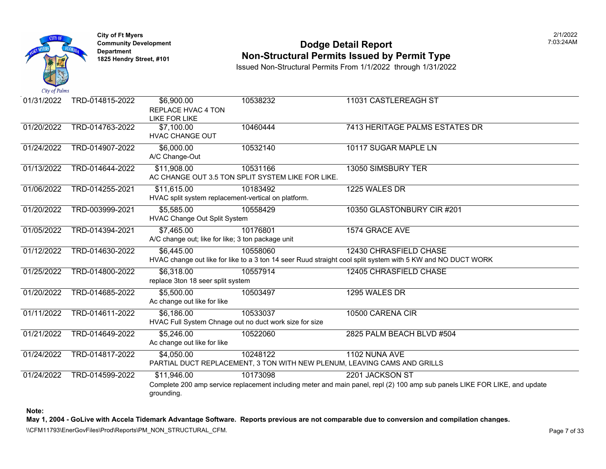

**City of Ft Myers** 2/1/2022 Department<br>1825 Hendry Street, #101

#### **Community Development Dodge Detail Report** 7:03:24AM **1825 Non-Structural Permits Issued by Permit Type**

Issued Non-Structural Permits From 1/1/2022 through 1/31/2022

| 01/31/2022 | TRD-014815-2022 | \$6,900.00<br>REPLACE HVAC 4 TON<br><b>LIKE FOR LIKE</b> | 10538232                                                                 | 11031 CASTLEREAGH ST                                                                                                       |
|------------|-----------------|----------------------------------------------------------|--------------------------------------------------------------------------|----------------------------------------------------------------------------------------------------------------------------|
| 01/20/2022 |                 |                                                          |                                                                          |                                                                                                                            |
|            | TRD-014763-2022 | \$7,100.00<br><b>HVAC CHANGE OUT</b>                     | 10460444                                                                 | 7413 HERITAGE PALMS ESTATES DR                                                                                             |
| 01/24/2022 | TRD-014907-2022 | \$6,000.00                                               | 10532140                                                                 | 10117 SUGAR MAPLE LN                                                                                                       |
|            |                 | A/C Change-Out                                           |                                                                          |                                                                                                                            |
| 01/13/2022 | TRD-014644-2022 | \$11,908.00                                              | 10531166                                                                 | 13050 SIMSBURY TER                                                                                                         |
|            |                 |                                                          | AC CHANGE OUT 3.5 TON SPLIT SYSTEM LIKE FOR LIKE.                        |                                                                                                                            |
| 01/06/2022 | TRD-014255-2021 | \$11,615.00                                              | 10183492                                                                 | 1225 WALES DR                                                                                                              |
|            |                 | HVAC split system replacement-vertical on platform.      |                                                                          |                                                                                                                            |
| 01/20/2022 | TRD-003999-2021 | \$5,585.00                                               | 10558429                                                                 | 10350 GLASTONBURY CIR #201                                                                                                 |
|            |                 | <b>HVAC Change Out Split System</b>                      |                                                                          |                                                                                                                            |
| 01/05/2022 | TRD-014394-2021 | \$7,465.00                                               | 10176801                                                                 | 1574 GRACE AVE                                                                                                             |
|            |                 | A/C change out; like for like; 3 ton package unit        |                                                                          |                                                                                                                            |
| 01/12/2022 | TRD-014630-2022 | \$6,445.00                                               | 10558060                                                                 | 12430 CHRASFIELD CHASE                                                                                                     |
|            |                 |                                                          |                                                                          | HVAC change out like for like to a 3 ton 14 seer Ruud straight cool split system with 5 KW and NO DUCT WORK                |
| 01/25/2022 | TRD-014800-2022 | \$6,318.00                                               | 10557914                                                                 | 12405 CHRASFIELD CHASE                                                                                                     |
|            |                 | replace 3ton 18 seer split system                        |                                                                          |                                                                                                                            |
| 01/20/2022 | TRD-014685-2022 | \$5,500.00                                               | 10503497                                                                 | 1295 WALES DR                                                                                                              |
|            |                 | Ac change out like for like                              |                                                                          |                                                                                                                            |
| 01/11/2022 | TRD-014611-2022 | \$6,186.00                                               | 10533037                                                                 | 10500 CARENA CIR                                                                                                           |
|            |                 |                                                          | HVAC Full System Chnage out no duct work size for size                   |                                                                                                                            |
| 01/21/2022 | TRD-014649-2022 | \$5,246.00                                               | 10522060                                                                 | 2825 PALM BEACH BLVD #504                                                                                                  |
|            |                 | Ac change out like for like                              |                                                                          |                                                                                                                            |
| 01/24/2022 | TRD-014817-2022 | \$4,050.00                                               | 10248122                                                                 | 1102 NUNA AVE                                                                                                              |
|            |                 |                                                          | PARTIAL DUCT REPLACEMENT, 3 TON WITH NEW PLENUM, LEAVING CAMS AND GRILLS |                                                                                                                            |
| 01/24/2022 | TRD-014599-2022 | \$11,946.00                                              | 10173098                                                                 | 2201 JACKSON ST                                                                                                            |
|            |                 |                                                          |                                                                          | Complete 200 amp service replacement including meter and main panel, repl (2) 100 amp sub panels LIKE FOR LIKE, and update |
|            |                 | grounding.                                               |                                                                          |                                                                                                                            |

**Note:** 

**May 1, 2004 - GoLive with Accela Tidemark Advantage Software. Reports previous are not comparable due to conversion and compilation changes.** 

\\CFM11793\EnerGovFiles\Prod\Reports\PM\_NON\_STRUCTURAL\_CFM.<br>Page 7 of 33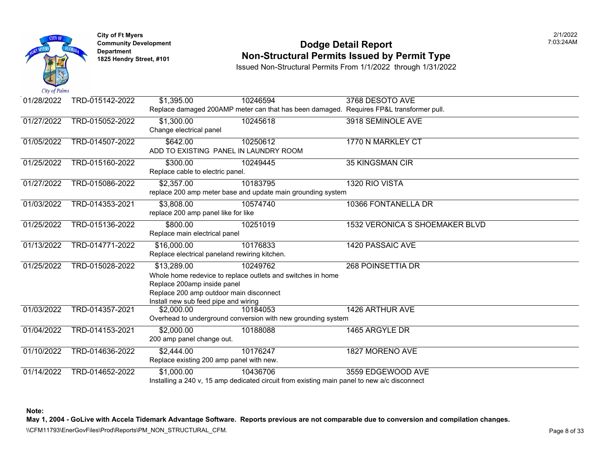

#### **Community Development Community Development Community Development Community Dodge Detail Report 1825 Non-Structural Permits Issued by Permit Type**

Issued Non-Structural Permits From 1/1/2022 through 1/31/2022

| 01/28/2022 | TRD-015142-2022 | \$1,395.00                                    | 10246594                                                                                    | 3768 DESOTO AVE             |
|------------|-----------------|-----------------------------------------------|---------------------------------------------------------------------------------------------|-----------------------------|
|            |                 |                                               | Replace damaged 200AMP meter can that has been damaged. Requires FP&L transformer pull.     |                             |
| 01/27/2022 | TRD-015052-2022 | \$1,300.00                                    | 10245618                                                                                    | 3918 SEMINOLE AVE           |
|            |                 | Change electrical panel                       |                                                                                             |                             |
| 01/05/2022 | TRD-014507-2022 | \$642.00                                      | 10250612                                                                                    | 1770 N MARKLEY CT           |
|            |                 | ADD TO EXISTING PANEL IN LAUNDRY ROOM         |                                                                                             |                             |
| 01/25/2022 | TRD-015160-2022 | \$300.00                                      | 10249445                                                                                    | <b>35 KINGSMAN CIR</b>      |
|            |                 | Replace cable to electric panel.              |                                                                                             |                             |
| 01/27/2022 | TRD-015086-2022 | \$2,357.00                                    | 10183795                                                                                    | 1320 RIO VISTA              |
|            |                 |                                               | replace 200 amp meter base and update main grounding system                                 |                             |
| 01/03/2022 | TRD-014353-2021 | \$3,808.00                                    | 10574740                                                                                    | 10366 FONTANELLA DR         |
|            |                 | replace 200 amp panel like for like           |                                                                                             |                             |
| 01/25/2022 | TRD-015136-2022 | \$800.00                                      | 10251019                                                                                    | 1532 VERONICA S SHOEMAKER B |
|            |                 | Replace main electrical panel                 |                                                                                             |                             |
| 01/13/2022 | TRD-014771-2022 | \$16,000.00                                   | 10176833                                                                                    | 1420 PASSAIC AVE            |
|            |                 | Replace electrical paneland rewiring kitchen. |                                                                                             |                             |
| 01/25/2022 | TRD-015028-2022 | \$13,289.00                                   | 10249762                                                                                    | <b>268 POINSETTIA DR</b>    |
|            |                 |                                               | Whole home redevice to replace outlets and switches in home                                 |                             |
|            |                 | Replace 200amp inside panel                   |                                                                                             |                             |
|            |                 | Replace 200 amp outdoor main disconnect       |                                                                                             |                             |
|            |                 | Install new sub feed pipe and wiring          |                                                                                             |                             |
| 01/03/2022 | TRD-014357-2021 | \$2,000.00                                    | 10184053                                                                                    | 1426 ARTHUR AVE             |
|            |                 |                                               | Overhead to underground conversion with new grounding system                                |                             |
| 01/04/2022 | TRD-014153-2021 | \$2,000.00                                    | 10188088                                                                                    | 1465 ARGYLE DR              |
|            |                 | 200 amp panel change out.                     |                                                                                             |                             |
| 01/10/2022 | TRD-014636-2022 | \$2,444.00                                    | 10176247                                                                                    | 1827 MORENO AVE             |
|            |                 | Replace existing 200 amp panel with new.      |                                                                                             |                             |
| 01/14/2022 | TRD-014652-2022 | \$1,000.00                                    | 10436706                                                                                    | 3559 EDGEWOOD AVE           |
|            |                 |                                               | Installing a 240 v, 15 amp dedicated circuit from existing main panel to new a/c disconnect |                             |

**Note:**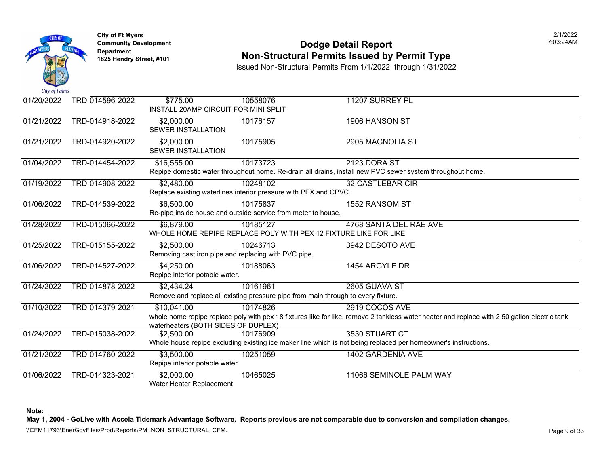

#### **Community Development Community Development Community Development Community Dodge Detail Report 1825 Non-Structural Permits Issued by Permit Type**

Issued Non-Structural Permits From 1/1/2022 through 1/31/2022

| 01/20/2022 | TRD-014596-2022 | \$775.00<br>INSTALL 20AMP CIRCUIT FOR MINI SPLIT                   | 10558076                                                                                      | 11207 SURREY PL                                                                                                              |
|------------|-----------------|--------------------------------------------------------------------|-----------------------------------------------------------------------------------------------|------------------------------------------------------------------------------------------------------------------------------|
| 01/21/2022 | TRD-014918-2022 | \$2,000.00<br>SEWER INSTALLATION                                   | 10176157                                                                                      | 1906 HANSON ST                                                                                                               |
| 01/21/2022 | TRD-014920-2022 | \$2,000.00<br>SEWER INSTALLATION                                   | 10175905                                                                                      | 2905 MAGNOLIA ST                                                                                                             |
| 01/04/2022 | TRD-014454-2022 | \$16,555.00                                                        | 10173723                                                                                      | 2123 DORA ST<br>Repipe domestic water throughout home. Re-drain all drains, install new PVC sewer system throughout h        |
| 01/19/2022 | TRD-014908-2022 | \$2,480.00                                                         | 10248102<br>Replace existing waterlines interior pressure with PEX and CPVC.                  | <b>32 CASTLEBAR CIR</b>                                                                                                      |
| 01/06/2022 | TRD-014539-2022 | \$6,500.00                                                         | 10175837<br>Re-pipe inside house and outside service from meter to house.                     | 1552 RANSOM ST                                                                                                               |
| 01/28/2022 | TRD-015066-2022 | $\overline{$6,879.00}$                                             | 10185127<br>WHOLE HOME REPIPE REPLACE POLY WITH PEX 12 FIXTURE LIKE FOR LIKE                  | 4768 SANTA DEL RAE AVE                                                                                                       |
| 01/25/2022 | TRD-015155-2022 | \$2,500.00<br>Removing cast iron pipe and replacing with PVC pipe. | 10246713                                                                                      | 3942 DESOTO AVE                                                                                                              |
| 01/06/2022 | TRD-014527-2022 | \$4,250.00<br>Repipe interior potable water.                       | 10188063                                                                                      | 1454 ARGYLE DR                                                                                                               |
| 01/24/2022 | TRD-014878-2022 | \$2,434.24                                                         | 10161961<br>Remove and replace all existing pressure pipe from main through to every fixture. | 2605 GUAVA ST                                                                                                                |
| 01/10/2022 | TRD-014379-2021 | \$10,041.00<br>waterheaters (BOTH SIDES OF DUPLEX)                 | 10174826                                                                                      | 2919 COCOS AVE<br>whole home repipe replace poly with pex 18 fixtures like for like. remove 2 tankless water heater and repl |
| 01/24/2022 | TRD-015038-2022 | \$2,500.00                                                         | 10176909                                                                                      | 3530 STUART CT<br>Whole house repipe excluding existing ice maker line which is not being replaced per homeowner's instru    |
| 01/21/2022 | TRD-014760-2022 | \$3,500.00<br>Repipe interior potable water                        | 10251059                                                                                      | 1402 GARDENIA AVE                                                                                                            |
| 01/06/2022 | TRD-014323-2021 | \$2,000.00<br>Water Heater Replacement                             | 10465025                                                                                      | 11066 SEMINOLE PALM WAY                                                                                                      |

**Note:**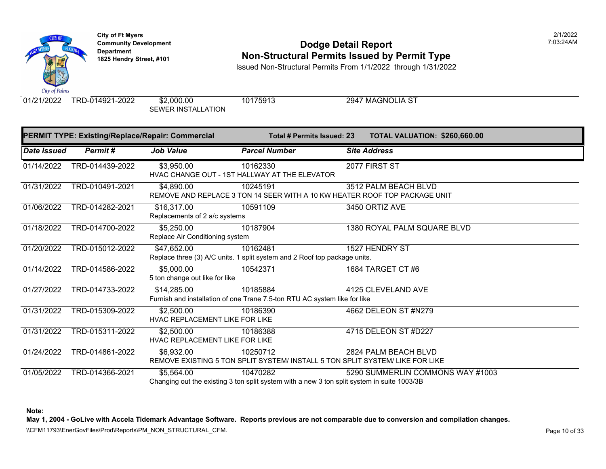

# **Community Development 1825 Hendright Community Development Department Department Department Am Dodge Detail Report Department Type 1825 Hendry Street, #101 <b>Non-Structural Permits Issued by Permit Type**

Issued Non-Structural Permits From 1/1/2022 through 1/31/2022

SEWER INSTALLATION

01/21/2022 TRD-014921-2022 \$2,000.00 10175913 2947 MAGNOLIA ST

|             |                 | PERMIT TYPE: Existing/Replace/Repair: Commercial | Total # Permits Issued: 23                                                            | <b>TOTAL VALUATION: \$260,66</b>                                                                                         |
|-------------|-----------------|--------------------------------------------------|---------------------------------------------------------------------------------------|--------------------------------------------------------------------------------------------------------------------------|
| Date Issued | Permit#         | <b>Job Value</b>                                 | <b>Parcel Number</b>                                                                  | <b>Site Address</b>                                                                                                      |
| 01/14/2022  | TRD-014439-2022 | \$3,950.00                                       | 10162330<br>HVAC CHANGE OUT - 1ST HALLWAY AT THE ELEVATOR                             | 2077 FIRST ST                                                                                                            |
| 01/31/2022  | TRD-010491-2021 | \$4,890.00                                       | 10245191                                                                              | 3512 PALM BEACH BLVD<br>REMOVE AND REPLACE 3 TON 14 SEER WITH A 10 KW HEATER ROOF TOP PACKAGE UNIT                       |
| 01/06/2022  | TRD-014282-2021 | \$16,317.00<br>Replacements of 2 a/c systems     | 10591109                                                                              | 3450 ORTIZ AVE                                                                                                           |
| 01/18/2022  | TRD-014700-2022 | \$5,250.00<br>Replace Air Conditioning system    | 10187904                                                                              | 1380 ROYAL PALM SQUARE BLVI                                                                                              |
| 01/20/2022  | TRD-015012-2022 | \$47,652.00                                      | 10162481<br>Replace three (3) A/C units. 1 split system and 2 Roof top package units. | 1527 HENDRY ST                                                                                                           |
| 01/14/2022  | TRD-014586-2022 | \$5,000.00<br>5 ton change out like for like     | 10542371                                                                              | 1684 TARGET CT #6                                                                                                        |
| 01/27/2022  | TRD-014733-2022 | \$14,285.00                                      | 10185884<br>Furnish and installation of one Trane 7.5-ton RTU AC system like for like | 4125 CLEVELAND AVE                                                                                                       |
| 01/31/2022  | TRD-015309-2022 | \$2,500.00<br>HVAC REPLACEMENT LIKE FOR LIKE     | 10186390                                                                              | 4662 DELEON ST #N279                                                                                                     |
| 01/31/2022  | TRD-015311-2022 | \$2,500.00<br>HVAC REPLACEMENT LIKE FOR LIKE     | 10186388                                                                              | 4715 DELEON ST #D227                                                                                                     |
| 01/24/2022  | TRD-014861-2022 | \$6,932.00                                       | 10250712                                                                              | 2824 PALM BEACH BLVD<br>REMOVE EXISTING 5 TON SPLIT SYSTEM/ INSTALL 5 TON SPLIT SYSTEM/ LIKE FOR LIKE                    |
| 01/05/2022  | TRD-014366-2021 | \$5,564.00                                       | 10470282                                                                              | 5290 SUMMERLIN COMMONS WA<br>Changing out the existing 3 ton split system with a new 3 ton split system in suite 1003/3B |

**Note:**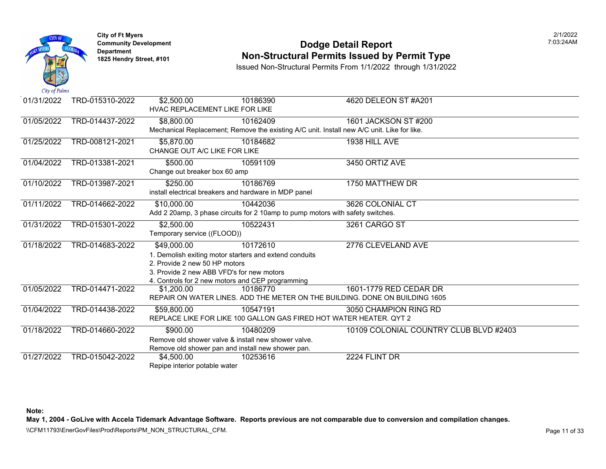

#### **Community Development Dodge Detail Report** 7:03:24AM **Non-Structural Permits Issued by Permit Type**

Issued Non-Structural Permits From 1/1/2022 through 1/31/2022

| 01/31/2022 | TRD-015310-2022 | \$2,500.00                                             | 10186390                                                                                   | 4620 DELEON ST #A201                                                        |
|------------|-----------------|--------------------------------------------------------|--------------------------------------------------------------------------------------------|-----------------------------------------------------------------------------|
|            |                 | HVAC REPLACEMENT LIKE FOR LIKE                         |                                                                                            |                                                                             |
| 01/05/2022 | TRD-014437-2022 | \$8,800.00                                             | 10162409                                                                                   | 1601 JACKSON ST #200                                                        |
|            |                 |                                                        | Mechanical Replacement; Remove the existing A/C unit. Install new A/C unit. Like for like. |                                                                             |
| 01/25/2022 | TRD-008121-2021 | \$5,870.00                                             | 10184682                                                                                   | 1938 HILL AVE                                                               |
|            |                 | CHANGE OUT A/C LIKE FOR LIKE                           |                                                                                            |                                                                             |
| 01/04/2022 | TRD-013381-2021 | \$500.00                                               | 10591109                                                                                   | 3450 ORTIZ AVE                                                              |
|            |                 | Change out breaker box 60 amp                          |                                                                                            |                                                                             |
| 01/10/2022 | TRD-013987-2021 | \$250.00                                               | 10186769                                                                                   | 1750 MATTHEW DR                                                             |
|            |                 | install electrical breakers and hardware in MDP panel  |                                                                                            |                                                                             |
| 01/11/2022 | TRD-014662-2022 | \$10,000.00                                            | 10442036                                                                                   | 3626 COLONIAL CT                                                            |
|            |                 |                                                        | Add 2 20amp, 3 phase circuits for 2 10amp to pump motors with safety switches.             |                                                                             |
| 01/31/2022 | TRD-015301-2022 | \$2,500.00                                             | 10522431                                                                                   | 3261 CARGO ST                                                               |
|            |                 | Temporary service ((FLOOD))                            |                                                                                            |                                                                             |
| 01/18/2022 | TRD-014683-2022 | \$49,000.00                                            | 10172610                                                                                   | 2776 CLEVELAND AVE                                                          |
|            |                 | 1. Demolish exiting motor starters and extend conduits |                                                                                            |                                                                             |
|            |                 | 2. Provide 2 new 50 HP motors                          |                                                                                            |                                                                             |
|            |                 | 3. Provide 2 new ABB VFD's for new motors              |                                                                                            |                                                                             |
|            |                 | 4. Controls for 2 new motors and CEP programming       |                                                                                            |                                                                             |
| 01/05/2022 | TRD-014471-2022 | \$1,200,00                                             | 10186770                                                                                   | 1601-1779 RED CEDAR DR                                                      |
|            |                 |                                                        |                                                                                            | REPAIR ON WATER LINES. ADD THE METER ON THE BUILDING. DONE ON BUILDING 1605 |
| 01/04/2022 | TRD-014438-2022 | \$59,800.00                                            | 10547191                                                                                   | 3050 CHAMPION RING RD                                                       |
|            |                 |                                                        | REPLACE LIKE FOR LIKE 100 GALLON GAS FIRED HOT WATER HEATER. QYT 2                         |                                                                             |
| 01/18/2022 | TRD-014660-2022 | \$900.00                                               | 10480209                                                                                   | 10109 COLONIAL COUNTRY CLUB BLVD #2403                                      |
|            |                 | Remove old shower valve & install new shower valve.    |                                                                                            |                                                                             |
|            |                 | Remove old shower pan and install new shower pan.      |                                                                                            |                                                                             |
| 01/27/2022 | TRD-015042-2022 | \$4,500.00                                             | 10253616                                                                                   | 2224 FLINT DR                                                               |
|            |                 | Repipe interior potable water                          |                                                                                            |                                                                             |

**Note:** 

**May 1, 2004 - GoLive with Accela Tidemark Advantage Software. Reports previous are not comparable due to conversion and compilation changes.**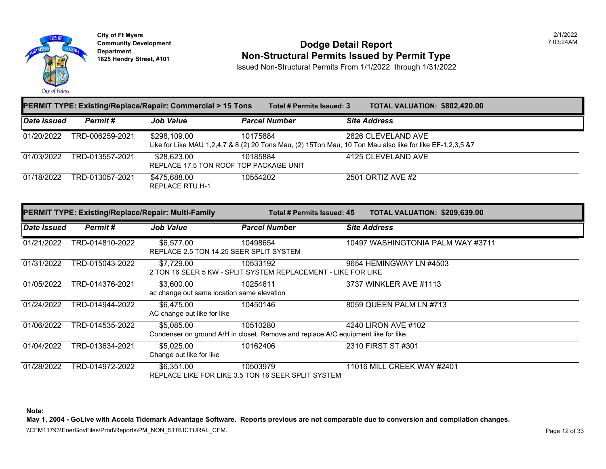

**City of Ft Myers Community Development Department 1825 Hendry Street, #101** 

#### **Dodge Detail Report Non-Structural Permits Issued by Permit Type**

2/1/2022 7:03:24AM

Issued Non-Structural Permits From 1/1/2022 through 1/31/2022

|                    |                 | <b>PERMIT TYPE: Existing/Replace/Repair: Commercial &gt; 15 Tons</b> | Total # Permits Issued: 3                                                                      | TOTAL VALUATION: \$802,420.00                                                                                                   |  |
|--------------------|-----------------|----------------------------------------------------------------------|------------------------------------------------------------------------------------------------|---------------------------------------------------------------------------------------------------------------------------------|--|
| <b>Date Issued</b> | Permit#         | <b>Job Value</b>                                                     | <b>Parcel Number</b>                                                                           | <b>Site Address</b>                                                                                                             |  |
| 01/20/2022         | TRD-006259-2021 | \$298,109.00                                                         | 10175884                                                                                       | 2826 CLEVELAND AVE<br>Like for Like MAU 1,2,4,7 & 8 (2) 20 Tons Mau, (2) 15Ton Mau, 10 Ton Mau also like for like EF-1,2,3,5 &7 |  |
| 01/03/2022         | TRD-013557-2021 | \$28,623.00<br>REPLACE 17.5 TON ROOF TOP PACKAGE UNIT                | 10185884                                                                                       | 4125 CLEVELAND AVE                                                                                                              |  |
| 01/18/2022         | TRD-013057-2021 | \$475,688.00<br><b>REPLACE RTU H-1</b>                               | 10554202                                                                                       | 2501 ORTIZ AVE #2                                                                                                               |  |
|                    |                 | PERMIT TYPE: Existing/Replace/Repair: Multi-Family                   | Total # Permits Issued: 45                                                                     | TOTAL VALUATION: \$209,639.00                                                                                                   |  |
| Date Issued        | Permit#         | <b>Job Value</b>                                                     | <b>Parcel Number</b>                                                                           | <b>Site Address</b>                                                                                                             |  |
| 01/21/2022         | TRD-014810-2022 | \$6,577.00<br>REPLACE 2.5 TON 14.25 SEER SPLIT SYSTEM                | 10498654                                                                                       | 10497 WASHINGTONIA PALM WAY #3711                                                                                               |  |
| 01/31/2022         | TRD-015043-2022 | \$7,729.00                                                           | 10533192<br>2 TON 16 SEER 5 KW - SPLIT SYSTEM REPLACEMENT - LIKE FOR LIKE                      | 9654 HEMINGWAY LN #4503                                                                                                         |  |
| 01/05/2022         | TRD-014376-2021 | \$3,600.00<br>ac change out same location same elevation             | 10254611                                                                                       | 3737 WINKLER AVE #1113                                                                                                          |  |
| 01/24/2022         | TRD-014944-2022 | \$6,475.00<br>AC change out like for like                            | 10450146                                                                                       | 8059 QUEEN PALM LN #713                                                                                                         |  |
| 01/06/2022         | TRD-014535-2022 | \$5,085.00                                                           | 10510280<br>Condenser on ground A/H in closet. Remove and replace A/C equipment like for like. | 4240 LIRON AVE #102                                                                                                             |  |
| 01/04/2022         | TRD-013634-2021 | \$5,025.00<br>Change out like for like                               | 10162406                                                                                       | 2310 FIRST ST #301                                                                                                              |  |
| 01/28/2022         | TRD-014972-2022 | \$6,351.00                                                           | 10503979<br>REPLACE LIKE FOR LIKE 3.5 TON 16 SEER SPLIT SYSTEM                                 | 11016 MILL CREEK WAY #2401                                                                                                      |  |

**Note:** 

**May 1, 2004 - GoLive with Accela Tidemark Advantage Software. Reports previous are not comparable due to conversion and compilation changes.**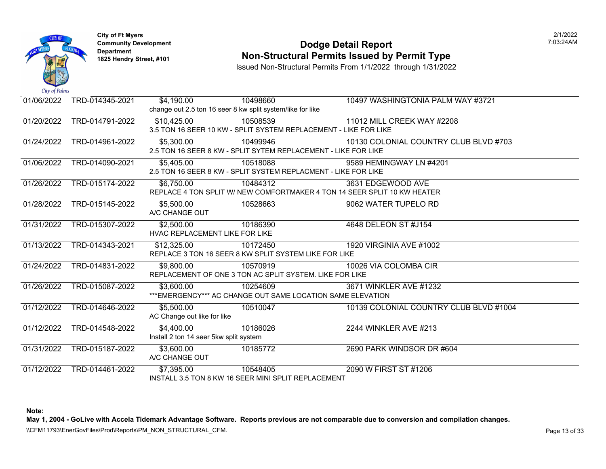

#### **Community Development Community Development Community Development Community Dodge Detail Report 1825 Non-Structural Permits Issued by Permit Type**

Issued Non-Structural Permits From 1/1/2022 through 1/31/2022

| $\mathcal{L}u \mathcal{L}v$ is a set of $\mathcal{L}u$ |                 |                                        |                                                                  |                                                                          |
|--------------------------------------------------------|-----------------|----------------------------------------|------------------------------------------------------------------|--------------------------------------------------------------------------|
| 01/06/2022                                             | TRD-014345-2021 | \$4,190.00                             | 10498660                                                         | 10497 WASHINGTONIA PALM WAJ                                              |
|                                                        |                 |                                        | change out 2.5 ton 16 seer 8 kw split system/like for like       |                                                                          |
| 01/20/2022                                             | TRD-014791-2022 | \$10,425.00                            | 10508539                                                         | 11012 MILL CREEK WAY #2208                                               |
|                                                        |                 |                                        | 3.5 TON 16 SEER 10 KW - SPLIT SYSTEM REPLACEMENT - LIKE FOR LIKE |                                                                          |
| 01/24/2022                                             | TRD-014961-2022 | \$5,300.00                             | 10499946                                                         | 10130 COLONIAL COUNTRY CLUE                                              |
|                                                        |                 |                                        | 2.5 TON 16 SEER 8 KW - SPLIT SYTEM REPLACEMENT - LIKE FOR LIKE   |                                                                          |
| 01/06/2022                                             | TRD-014090-2021 | \$5,405.00                             | 10518088                                                         | 9589 HEMINGWAY LN #4201                                                  |
|                                                        |                 |                                        | 2.5 TON 16 SEER 8 KW - SPLIT SYSTEM REPLACMENT - LIKE FOR LIKE   |                                                                          |
| 01/26/2022                                             | TRD-015174-2022 | \$6,750.00                             | 10484312                                                         | 3631 EDGEWOOD AVE                                                        |
|                                                        |                 |                                        |                                                                  | REPLACE 4 TON SPLIT W/ NEW COMFORTMAKER 4 TON 14 SEER SPLIT 10 KW HEATER |
| 01/28/2022                                             | TRD-015145-2022 | \$5,500.00                             | 10528663                                                         | 9062 WATER TUPELO RD                                                     |
|                                                        |                 | A/C CHANGE OUT                         |                                                                  |                                                                          |
| 01/31/2022                                             | TRD-015307-2022 | \$2,500.00                             | 10186390                                                         | 4648 DELEON ST #J154                                                     |
|                                                        |                 | HVAC REPLACEMENT LIKE FOR LIKE         |                                                                  |                                                                          |
| 01/13/2022                                             | TRD-014343-2021 | \$12,325.00                            | 10172450                                                         | 1920 VIRGINIA AVE #1002                                                  |
|                                                        |                 |                                        | REPLACE 3 TON 16 SEER 8 KW SPLIT SYSTEM LIKE FOR LIKE            |                                                                          |
| 01/24/2022                                             | TRD-014831-2022 | \$9,800.00                             | 10570919                                                         | 10026 VIA COLOMBA CIR                                                    |
|                                                        |                 |                                        | REPLACEMENT OF ONE 3 TON AC SPLIT SYSTEM. LIKE FOR LIKE          |                                                                          |
| 01/26/2022                                             | TRD-015087-2022 | \$3,600.00                             | 10254609                                                         | 3671 WINKLER AVE #1232                                                   |
|                                                        |                 |                                        | *** EMERGENCY*** AC CHANGE OUT SAME LOCATION SAME ELEVATION      |                                                                          |
| 01/12/2022                                             | TRD-014646-2022 | \$5,500.00                             | 10510047                                                         | 10139 COLONIAL COUNTRY CLUE                                              |
|                                                        |                 | AC Change out like for like            |                                                                  |                                                                          |
| 01/12/2022                                             | TRD-014548-2022 | \$4,400.00                             | 10186026                                                         | 2244 WINKLER AVE #213                                                    |
|                                                        |                 | Install 2 ton 14 seer 5kw split system |                                                                  |                                                                          |
| 01/31/2022                                             | TRD-015187-2022 | \$3,600.00                             | 10185772                                                         | 2690 PARK WINDSOR DR #604                                                |
|                                                        |                 | A/C CHANGE OUT                         |                                                                  |                                                                          |
| 01/12/2022                                             | TRD-014461-2022 | \$7,395.00                             | 10548405                                                         | 2090 W FIRST ST #1206                                                    |
|                                                        |                 |                                        | INSTALL 3.5 TON 8 KW 16 SEER MINI SPLIT REPLACEMENT              |                                                                          |

**Note:**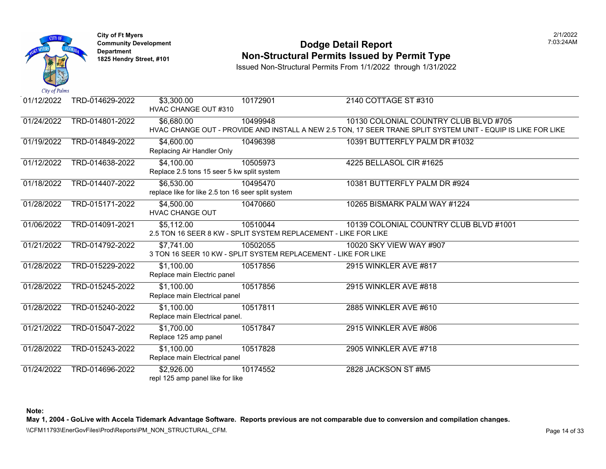

#### **Community Development Community Development Community Development Community Dodge Detail Report 1825 Non-Structural Permits Issued by Permit Type**

Issued Non-Structural Permits From 1/1/2022 through 1/31/2022

| 01/12/2022 | TRD-014629-2022 | \$3,300.00<br><b>HVAC CHANGE OUT #310</b>                        | 10172901                                                                    | 2140 COTTAGE ST #310                                                                                             |
|------------|-----------------|------------------------------------------------------------------|-----------------------------------------------------------------------------|------------------------------------------------------------------------------------------------------------------|
| 01/24/2022 | TRD-014801-2022 | \$6,680.00                                                       | 10499948                                                                    | 10130 COLONIAL COUNTRY CLUE<br>HVAC CHANGE OUT - PROVIDE AND INSTALL A NEW 2.5 TON, 17 SEER TRANE SPLIT SYSTEM U |
| 01/19/2022 | TRD-014849-2022 | \$4,600.00<br>Replacing Air Handler Only                         | 10496398                                                                    | 10391 BUTTERFLY PALM DR #103                                                                                     |
| 01/12/2022 | TRD-014638-2022 | \$4,100.00<br>Replace 2.5 tons 15 seer 5 kw split system         | 10505973                                                                    | 4225 BELLASOL CIR #1625                                                                                          |
| 01/18/2022 | TRD-014407-2022 | \$6,530.00<br>replace like for like 2.5 ton 16 seer split system | 10495470                                                                    | 10381 BUTTERFLY PALM DR #924                                                                                     |
| 01/28/2022 | TRD-015171-2022 | \$4,500.00<br><b>HVAC CHANGE OUT</b>                             | 10470660                                                                    | 10265 BISMARK PALM WAY #1224                                                                                     |
| 01/06/2022 | TRD-014091-2021 | \$5,112.00                                                       | 10510044<br>2.5 TON 16 SEER 8 KW - SPLIT SYSTEM REPLACEMENT - LIKE FOR LIKE | 10139 COLONIAL COUNTRY CLUE                                                                                      |
| 01/21/2022 | TRD-014792-2022 | \$7,741.00                                                       | 10502055<br>3 TON 16 SEER 10 KW - SPLIT SYSTEM REPLACEMENT - LIKE FOR LIKE  | 10020 SKY VIEW WAY #907                                                                                          |
| 01/28/2022 | TRD-015229-2022 | \$1,100.00<br>Replace main Electric panel                        | 10517856                                                                    | 2915 WINKLER AVE #817                                                                                            |
| 01/28/2022 | TRD-015245-2022 | $\overline{$1,100.00}$<br>Replace main Electrical panel          | 10517856                                                                    | 2915 WINKLER AVE #818                                                                                            |
| 01/28/2022 | TRD-015240-2022 | \$1,100.00<br>Replace main Electrical panel.                     | 10517811                                                                    | 2885 WINKLER AVE #610                                                                                            |
| 01/21/2022 | TRD-015047-2022 | \$1,700.00<br>Replace 125 amp panel                              | 10517847                                                                    | 2915 WINKLER AVE #806                                                                                            |
| 01/28/2022 | TRD-015243-2022 | \$1,100.00<br>Replace main Electrical panel                      | 10517828                                                                    | 2905 WINKLER AVE #718                                                                                            |
| 01/24/2022 | TRD-014696-2022 | \$2,926.00<br>repl 125 amp panel like for like                   | 10174552                                                                    | 2828 JACKSON ST #M5                                                                                              |

**Note:**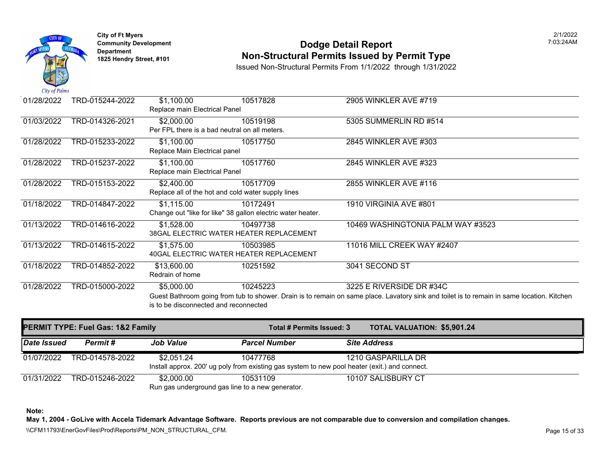

# **Community Development 1825 Hendright Community Development Department Department Department Am Dodge Detail Report Department Type 1825 Hendry Street, #101 <b>Non-Structural Permits Issued by Permit Type**

Issued Non-Structural Permits From 1/1/2022 through 1/31/2022

| 01/28/2022 | TRD-015244-2022 | \$1,100.00<br>Replace main Electrical Panel                               | 10517828 | 2905 WINKLER AVE #719                                                                                                                 |
|------------|-----------------|---------------------------------------------------------------------------|----------|---------------------------------------------------------------------------------------------------------------------------------------|
| 01/03/2022 | TRD-014326-2021 | \$2,000.00<br>Per FPL there is a bad neutral on all meters.               | 10519198 | 5305 SUMMERLIN RD #514                                                                                                                |
| 01/28/2022 | TRD-015233-2022 | \$1,100.00<br>Replace Main Electrical panel                               | 10517750 | 2845 WINKLER AVE #303                                                                                                                 |
| 01/28/2022 | TRD-015237-2022 | \$1,100.00<br>Replace main Electrical Panel                               | 10517760 | 2845 WINKLER AVE #323                                                                                                                 |
| 01/28/2022 | TRD-015153-2022 | \$2,400.00<br>Replace all of the hot and cold water supply lines          | 10517709 | 2855 WINKLER AVE #116                                                                                                                 |
| 01/18/2022 | TRD-014847-2022 | \$1,115.00<br>Change out "like for like" 38 gallon electric water heater. | 10172491 | 1910 VIRGINIA AVE #801                                                                                                                |
| 01/13/2022 | TRD-014616-2022 | \$1,528.00<br>38GAL ELECTRIC WATER HEATER REPLACEMENT                     | 10497738 | 10469 WASHINGTONIA PALM WAY                                                                                                           |
| 01/13/2022 | TRD-014615-2022 | \$1,575.00<br>40GAL ELECTRIC WATER HEATER REPLACEMENT                     | 10503985 | 11016 MILL CREEK WAY #2407                                                                                                            |
| 01/18/2022 | TRD-014852-2022 | \$13,600.00<br>Redrain of home                                            | 10251592 | 3041 SECOND ST                                                                                                                        |
| 01/28/2022 | TRD-015000-2022 | \$5,000.00<br>is to be disconnected and reconnected                       | 10245223 | 3225 E RIVERSIDE DR #34C<br>Guest Bathroom going from tub to shower. Drain is to remain on same place. Lavatory sink and toilet is to |

| <b>PERMIT TYPE: Fuel Gas: 1&amp;2 Family</b> |                 |                                                                | Total # Permits Issued: 3                                                                                 | <b>TOTAL VALUATION: \$5,901.2</b> |
|----------------------------------------------|-----------------|----------------------------------------------------------------|-----------------------------------------------------------------------------------------------------------|-----------------------------------|
| Date Issued                                  | Permit #        | <b>Job Value</b>                                               | <b>Parcel Number</b>                                                                                      | <b>Site Address</b>               |
| 01/07/2022                                   | TRD-014578-2022 | \$2,051.24                                                     | 10477768<br>Install approx. 200' ug poly from existing gas system to new pool heater (exit.) and connect. | 1210 GASPARILLA DR                |
| 01/31/2022                                   | TRD-015246-2022 | \$2,000.00<br>Run gas underground gas line to a new generator. | 10531109                                                                                                  | 10107 SALISBURY CT                |

**Note:**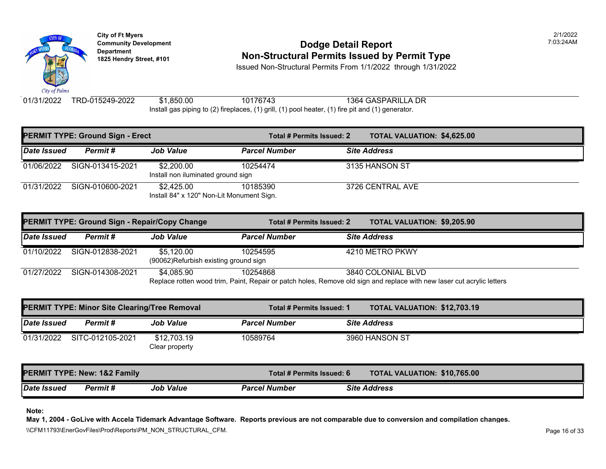

### **Community Development Community Development Community Development Non-Structural Permits Issued by Permit Type**

Issued Non-Structural Permits From 1/1/2022 through 1/31/2022

01/31/2022 TRD-015249-2022 \$1,850.00 Install gas piping to (2) fireplaces, (1) grill, (1) pool heater, (1) fire pit and (1) generator. 10176743 1364 GASPARILLA DR

|             | <b>PERMIT TYPE: Ground Sign - Erect</b> |                                                         | Total # Permits Issued: 2 | <b>TOTAL VALUATION: \$4,625.0</b> |
|-------------|-----------------------------------------|---------------------------------------------------------|---------------------------|-----------------------------------|
| Date Issued | Permit#                                 | <b>Job Value</b>                                        | <b>Parcel Number</b>      | <b>Site Address</b>               |
| 01/06/2022  | SIGN-013415-2021                        | \$2,200.00<br>Install non iluminated ground sign        | 10254474                  | 3135 HANSON ST                    |
| 01/31/2022  | SIGN-010600-2021                        | \$2,425.00<br>Install 84" x 120" Non-Lit Monument Sign. | 10185390                  | 3726 CENTRAL AVE                  |

| PERMIT TYPE: Ground Sign - Repair/Copy Change |                  |                                                                                                                        | Total # Permits Issued: 2 |  | <b>TOTAL VALUATION: \$9,205.9</b> |  |
|-----------------------------------------------|------------------|------------------------------------------------------------------------------------------------------------------------|---------------------------|--|-----------------------------------|--|
| Date Issued                                   | Permit #         | <b>Job Value</b>                                                                                                       | <b>Parcel Number</b>      |  | <b>Site Address</b>               |  |
| 01/10/2022                                    | SIGN-012838-2021 | \$5.120.00<br>(90062)Refurbish existing ground sign                                                                    | 10254595                  |  | 4210 METRO PKWY                   |  |
| 01/27/2022                                    | SIGN-014308-2021 | \$4.085.90<br>Replace rotten wood trim, Paint, Repair or patch holes, Remove old sign and replace with new laser cut a | 10254868                  |  | 3840 COLONIAL BLVD                |  |

| <b>PERMIT TYPE: Minor Site Clearing/Tree Removal</b> |                                         |                               |                           | Total # Permits Issued: 1 |                                  | <b>TOTAL VALUATION: \$12,703</b> |
|------------------------------------------------------|-----------------------------------------|-------------------------------|---------------------------|---------------------------|----------------------------------|----------------------------------|
| <b>Date Issued</b>                                   | Permit#                                 | <b>Job Value</b>              | <b>Parcel Number</b>      |                           | <b>Site Address</b>              |                                  |
| 01/31/2022                                           | SITC-012105-2021                        | \$12,703.19<br>Clear property | 10589764                  |                           | 3960 HANSON ST                   |                                  |
|                                                      | <b>PERMIT TYPE: New: 1&amp;2 Family</b> |                               | Total # Permits Issued: 6 |                           | <b>TOTAL VALUATION: \$10,765</b> |                                  |
| Date Issued                                          | <b>Permit #</b>                         | <b>Job Value</b>              | <b>Parcel Number</b>      |                           | <b>Site Address</b>              |                                  |

**Note:**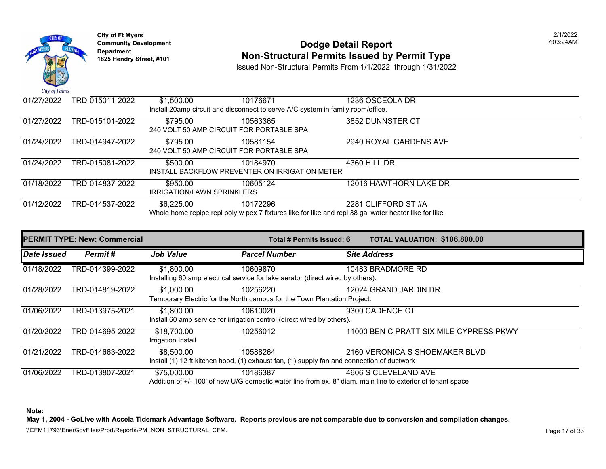

## **Community Development 1825 Community Development 1825 Hendry Street, #101** 203:24AM **Department Non-Structural Permits Issued by Permit Type** 1825 Hendry Street, #101

Issued Non-Structural Permits From 1/1/2022 through 1/31/2022

| 01/27/2022                                                                                            | TRD-015011-2022 | \$1,500.00                                                                      | 10176671                                       | 1236 OSCEOLA DR        |  |  |  |  |
|-------------------------------------------------------------------------------------------------------|-----------------|---------------------------------------------------------------------------------|------------------------------------------------|------------------------|--|--|--|--|
|                                                                                                       |                 | Install 20amp circuit and disconnect to serve A/C system in family room/office. |                                                |                        |  |  |  |  |
| 01/27/2022                                                                                            | TRD-015101-2022 | \$795.00                                                                        | 10563365                                       | 3852 DUNNSTER CT       |  |  |  |  |
|                                                                                                       |                 | 240 VOLT 50 AMP CIRCUIT FOR PORTABLE SPA                                        |                                                |                        |  |  |  |  |
| 01/24/2022                                                                                            | TRD-014947-2022 | \$795.00                                                                        | 10581154                                       | 2940 ROYAL GARDENS AVE |  |  |  |  |
|                                                                                                       |                 | 240 VOLT 50 AMP CIRCUIT FOR PORTABLE SPA                                        |                                                |                        |  |  |  |  |
| 01/24/2022                                                                                            | TRD-015081-2022 | \$500.00                                                                        | 10184970                                       | 4360 HILL DR           |  |  |  |  |
|                                                                                                       |                 |                                                                                 | INSTALL BACKFLOW PREVENTER ON IRRIGATION METER |                        |  |  |  |  |
| 01/18/2022                                                                                            | TRD-014837-2022 | \$950.00                                                                        | 10605124                                       | 12016 HAWTHORN LAKE DR |  |  |  |  |
|                                                                                                       |                 | <b>IRRIGATION/LAWN SPRINKLERS</b>                                               |                                                |                        |  |  |  |  |
| 01/12/2022                                                                                            | TRD-014537-2022 | \$6,225.00                                                                      | 10172296                                       | 2281 CLIFFORD ST #A    |  |  |  |  |
| Whole home repipe repl poly w pex 7 fixtures like for like and repl 38 gal water heater like for like |                 |                                                                                 |                                                |                        |  |  |  |  |
|                                                                                                       |                 |                                                                                 |                                                |                        |  |  |  |  |

| <b>PERMIT TYPE: New: Commercial</b> |                 |                                   | Total # Permits Issued: 6                                                                              | TOTAL VALUATION: \$106,800.00                                                                                                                  |
|-------------------------------------|-----------------|-----------------------------------|--------------------------------------------------------------------------------------------------------|------------------------------------------------------------------------------------------------------------------------------------------------|
| Date Issued                         | Permit#         | <b>Job Value</b>                  | <b>Parcel Number</b>                                                                                   | <b>Site Address</b>                                                                                                                            |
| 01/18/2022                          | TRD-014399-2022 | \$1,800.00                        | 10609870<br>Installing 60 amp electrical service for lake aerator (direct wired by others).            | 10483 BRADMORE RD                                                                                                                              |
| 01/28/2022                          | TRD-014819-2022 | \$1,000.00                        | 10256220<br>Temporary Electric for the North campus for the Town Plantation Project.                   | 12024 GRAND JARDIN DR                                                                                                                          |
| 01/06/2022                          | TRD-013975-2021 | \$1,800.00                        | 10610020<br>Install 60 amp service for irrigation control (direct wired by others).                    | 9300 CADENCE CT                                                                                                                                |
| 01/20/2022                          | TRD-014695-2022 | \$18,700.00<br>Irrigation Install | 10256012                                                                                               | 11000 BEN C PRATT SIX MILE CYPRESS PKWY                                                                                                        |
| 01/21/2022                          | TRD-014663-2022 | \$8,500.00                        | 10588264<br>Install (1) 12 ft kitchen hood, (1) exhaust fan, (1) supply fan and connection of ductwork | 2160 VERONICA S SHOEMAKER BLVD                                                                                                                 |
| 01/06/2022                          | TRD-013807-2021 | \$75,000.00                       | 10186387                                                                                               | 4606 S CLEVELAND AVE<br>$\Lambda$ ddition of $+/-100$ ' of new U/C domestic water line from ex. 8" diam, main line to exterior of tenant space |

Addition of +/- 100' of new U/G domestic water line from ex. 8" diam. main line to exterior of tenant space

**Note:** 

**May 1, 2004 - GoLive with Accela Tidemark Advantage Software. Reports previous are not comparable due to conversion and compilation changes.**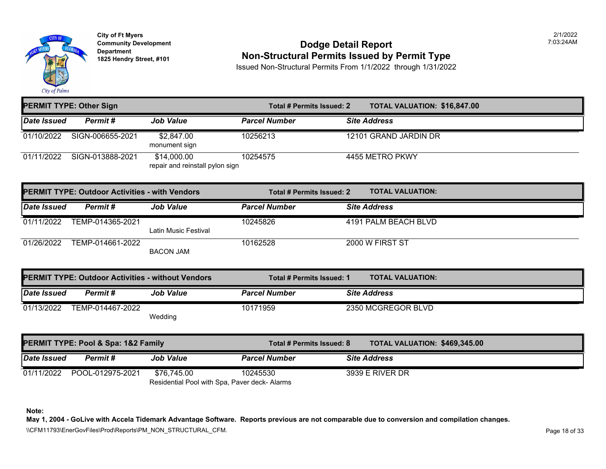

#### **Community Development Community Development Community Development Community Dodge Detail Report 1825 Non-Structural Permits Issued by Permit Type**

Issued Non-Structural Permits From 1/1/2022 through 1/31/2022

|                    | <b>PERMIT TYPE: Other Sign</b>                           |                                                              | Total # Permits Issued: 2        | <b>TOTAL VALUATION: \$16,847</b> |  |
|--------------------|----------------------------------------------------------|--------------------------------------------------------------|----------------------------------|----------------------------------|--|
| Date Issued        | Permit#                                                  | <b>Job Value</b>                                             | <b>Parcel Number</b>             | <b>Site Address</b>              |  |
| 01/10/2022         | SIGN-006655-2021                                         | \$2,847.00<br>monument sign                                  | 10256213                         | 12101 GRAND JARDIN DR            |  |
| 01/11/2022         | SIGN-013888-2021                                         | \$14,000.00<br>repair and reinstall pylon sign               | 10254575                         | 4455 METRO PKWY                  |  |
|                    | <b>PERMIT TYPE: Outdoor Activities - with Vendors</b>    |                                                              | <b>Total # Permits Issued: 2</b> | <b>TOTAL VALUATION:</b>          |  |
| <b>Date Issued</b> | Permit#                                                  | <b>Job Value</b>                                             | <b>Parcel Number</b>             | <b>Site Address</b>              |  |
| 01/11/2022         | TEMP-014365-2021                                         | Latin Music Festival                                         | 10245826                         | 4191 PALM BEACH BLVD             |  |
| 01/26/2022         | TEMP-014661-2022                                         | <b>BACON JAM</b>                                             | 10162528                         | 2000 W FIRST ST                  |  |
|                    | <b>PERMIT TYPE: Outdoor Activities - without Vendors</b> |                                                              | Total # Permits Issued: 1        | <b>TOTAL VALUATION:</b>          |  |
| Date Issued        | Permit#                                                  | <b>Job Value</b>                                             | <b>Parcel Number</b>             | <b>Site Address</b>              |  |
| 01/13/2022         | TEMP-014467-2022                                         | Wedding                                                      | 10171959                         | 2350 MCGREGOR BLVD               |  |
|                    | PERMIT TYPE: Pool & Spa: 1&2 Family                      |                                                              | Total # Permits Issued: 8        | <b>TOTAL VALUATION: \$469,34</b> |  |
| Date Issued        | Permit#                                                  | <b>Job Value</b>                                             | <b>Parcel Number</b>             | <b>Site Address</b>              |  |
| 01/11/2022         | POOL-012975-2021                                         | \$76,745.00<br>Residential Pool with Spa, Paver deck- Alarms | 10245530                         | <b>3939 E RIVER DR</b>           |  |

**Note:**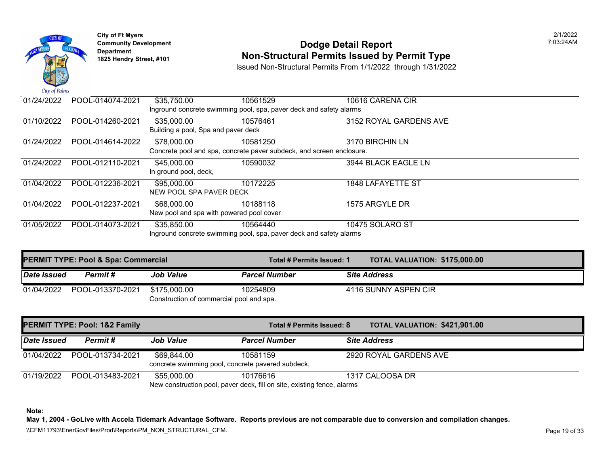

# **Community Development** 7:03:24AM **Dodge Detail Report Department Non-Structural Permits Issued by Permit Type 1825 Hendry Street, #101**

Issued Non-Structural Permits From 1/1/2022 through 1/31/2022

| $\sim \cdots$ $\sim$ $\sim$ $\sim$ $\sim$ $\sim$ |                  |                                          |                                                                      |                        |
|--------------------------------------------------|------------------|------------------------------------------|----------------------------------------------------------------------|------------------------|
| 01/24/2022                                       | POOL-014074-2021 | \$35,750.00                              | 10561529                                                             | 10616 CARENA CIR       |
|                                                  |                  |                                          | Inground concrete swimming pool, spa, paver deck and safety alarms   |                        |
| 01/10/2022                                       | POOL-014260-2021 | \$35,000.00                              | 10576461                                                             | 3152 ROYAL GARDENS AVE |
|                                                  |                  | Building a pool, Spa and paver deck      |                                                                      |                        |
| 01/24/2022                                       | POOL-014614-2022 | \$78,000.00                              | 10581250                                                             | 3170 BIRCHIN LN        |
|                                                  |                  |                                          | Concrete pool and spa, concrete paver subdeck, and screen enclosure. |                        |
| 01/24/2022                                       | POOL-012110-2021 | \$45,000.00                              | 10590032                                                             | 3944 BLACK EAGLE LN    |
|                                                  |                  | In ground pool, deck,                    |                                                                      |                        |
| 01/04/2022                                       | POOL-012236-2021 | \$95,000.00                              | 10172225                                                             | 1848 LAFAYETTE ST      |
|                                                  |                  | NEW POOL SPA PAVER DECK                  |                                                                      |                        |
| 01/04/2022                                       | POOL-012237-2021 | \$68,000.00                              | 10188118                                                             | 1575 ARGYLE DR         |
|                                                  |                  | New pool and spa with powered pool cover |                                                                      |                        |
| 01/05/2022                                       | POOL-014073-2021 | \$35,850.00                              | 10564440                                                             | 10475 SOLARO ST        |
|                                                  |                  |                                          | Inground concrete swimming pool, spa, paver deck and safety alarms   |                        |

|             | <b>PERMIT TYPE: Pool &amp; Spa: Commercial</b> |                                                          | Total # Permits Issued: 1 | <b>TOTAL VALUATION: \$175,00</b> |
|-------------|------------------------------------------------|----------------------------------------------------------|---------------------------|----------------------------------|
| Date Issued | Permit #                                       | <b>Job Value</b>                                         | <b>Parcel Number</b>      | <b>Site Address</b>              |
| 01/04/2022  | POOL-013370-2021                               | \$175.000.00<br>Construction of commercial pool and spa. | 10254809                  | 4116 SUNNY ASPEN CIR             |

|             | <b>PERMIT TYPE: Pool: 1&amp;2 Family</b> |                                                                  | Total # Permits Issued: 8                                                           | <b>TOTAL VALUATION: \$421,90</b> |
|-------------|------------------------------------------|------------------------------------------------------------------|-------------------------------------------------------------------------------------|----------------------------------|
| Date Issued | Permit#                                  | <b>Job Value</b>                                                 | <b>Parcel Number</b>                                                                | <b>Site Address</b>              |
| 01/04/2022  | POOL-013734-2021                         | \$69,844.00<br>concrete swimming pool, concrete pavered subdeck, | 10581159                                                                            | 2920 ROYAL GARDENS AVE           |
| 01/19/2022  | POOL-013483-2021                         | \$55,000.00                                                      | 10176616<br>New construction pool, paver deck, fill on site, existing fence, alarms | 1317 CALOOSA DR                  |

**Note:**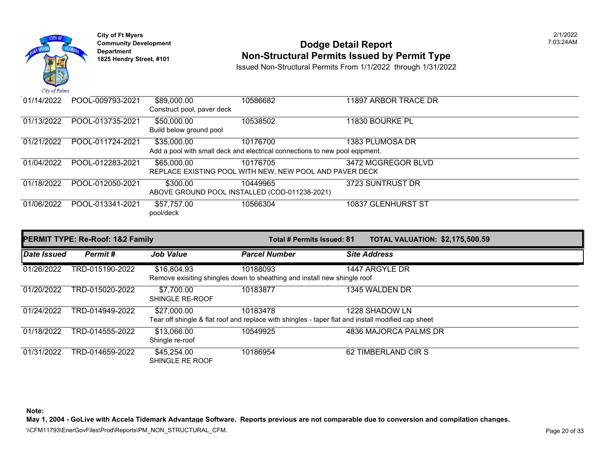

### **Community Development 1825 Community Development 1825 Hendry Street, #101** 203:24AM **Department Non-Structural Permits Issued by Permit Type** 1825 Hendry Street, #101

Issued Non-Structural Permits From 1/1/2022 through 1/31/2022

| 01/14/2022 | POOL-009793-2021 | \$89,000.00                | 10586682                                                                    | 11897 ARBOR TRACE DR |
|------------|------------------|----------------------------|-----------------------------------------------------------------------------|----------------------|
|            |                  | Construct pool, paver deck |                                                                             |                      |
| 01/13/2022 | POOL-013735-2021 | \$50,000.00                | 10538502                                                                    | 11830 BOURKE PL      |
|            |                  | Build below ground pool    |                                                                             |                      |
| 01/21/2022 | POOL-011724-2021 | \$35,000.00                | 10176700                                                                    | 1383 PLUMOSA DR      |
|            |                  |                            | Add a pool with small deck and electrical connections to new pool eqipment. |                      |
| 01/04/2022 | POOL-012283-2021 | \$65,000.00                | 10176705                                                                    | 3472 MCGREGOR BLVD   |
|            |                  |                            | REPLACE EXISTING POOL WITH NEW, NEW POOL AND PAVER DECK                     |                      |
| 01/18/2022 | POOL-012050-2021 | \$300.00                   | 10449965                                                                    | 3723 SUNTRUST DR     |
|            |                  |                            | ABOVE GROUND POOL INSTALLED (COD-011238-2021)                               |                      |
| 01/06/2022 | POOL-013341-2021 | \$57,757.00                | 10566304                                                                    | 10837 GLENHURST ST   |
|            |                  | pool/deck                  |                                                                             |                      |
|            |                  |                            |                                                                             |                      |

|             | <b>PERMIT TYPE: Re-Roof: 1&amp;2 Family</b> |                                | Total # Permits Issued: 81                                                                                     | <b>TOTAL VALUATION: \$2,175,500.59</b> |
|-------------|---------------------------------------------|--------------------------------|----------------------------------------------------------------------------------------------------------------|----------------------------------------|
| Date Issued | Permit#                                     | <b>Job Value</b>               | <b>Parcel Number</b>                                                                                           | <b>Site Address</b>                    |
| 01/26/2022  | TRD-015190-2022                             | \$16,804.93                    | 10188093<br>Remove exisiting shingles down to sheathing and install new shingle roof                           | 1447 ARGYLE DR                         |
| 01/20/2022  | TRD-015020-2022                             | \$7,700.00<br>SHINGLE RE-ROOF  | 10183877                                                                                                       | 1345 WALDEN DR                         |
| 01/24/2022  | TRD-014949-2022                             | \$27,000.00                    | 10183478<br>Tear off shingle & flat roof and replace with shingles - taper flat and install modified cap sheet | 1228 SHADOW LN                         |
| 01/18/2022  | TRD-014555-2022                             | \$13,066.00<br>Shingle re-roof | 10549925                                                                                                       | 4836 MAJORCA PALMS DR                  |
| 01/31/2022  | TRD-014659-2022                             | \$45,254.00<br>SHINGLE RE ROOF | 10186954                                                                                                       | 62 TIMBERLAND CIR S                    |

**Note:** 

**May 1, 2004 - GoLive with Accela Tidemark Advantage Software. Reports previous are not comparable due to conversion and compilation changes.**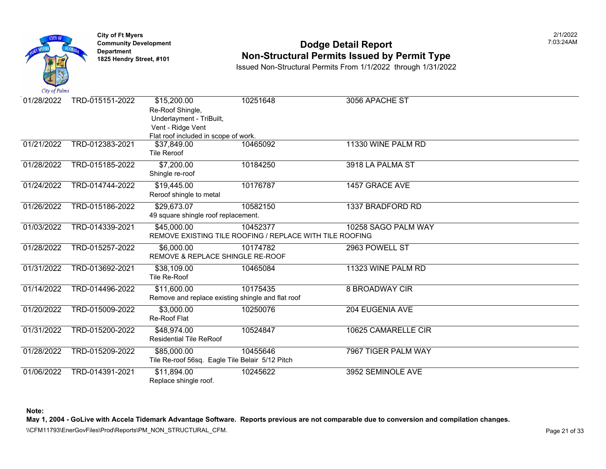

### **Community Development Community Development Community Development Community Dodge Detail Report 1825 Non-Structural Permits Issued by Permit Type**

Issued Non-Structural Permits From 1/1/2022 through 1/31/2022

| City of Palms |                 |                                                                                  |                                                                      |                     |
|---------------|-----------------|----------------------------------------------------------------------------------|----------------------------------------------------------------------|---------------------|
| 01/28/2022    | TRD-015151-2022 | \$15,200.00<br>Re-Roof Shingle,<br>Underlayment - TriBuilt,<br>Vent - Ridge Vent | 10251648                                                             | 3056 APACHE ST      |
|               |                 | Flat roof included in scope of work.                                             |                                                                      |                     |
| 01/21/2022    | TRD-012383-2021 | \$37,849.00<br><b>Tile Reroof</b>                                                | 10465092                                                             | 11330 WINE PALM RD  |
| 01/28/2022    | TRD-015185-2022 | \$7,200.00<br>Shingle re-roof                                                    | 10184250                                                             | 3918 LA PALMA ST    |
| 01/24/2022    | TRD-014744-2022 | \$19,445.00<br>Reroof shingle to metal                                           | 10176787                                                             | 1457 GRACE AVE      |
| 01/26/2022    | TRD-015186-2022 | \$29,673.07<br>49 square shingle roof replacement.                               | 10582150                                                             | 1337 BRADFORD RD    |
| 01/03/2022    | TRD-014339-2021 | \$45,000.00                                                                      | 10452377<br>REMOVE EXISTING TILE ROOFING / REPLACE WITH TILE ROOFING | 10258 SAGO PALM WAY |
| 01/28/2022    | TRD-015257-2022 | \$6,000.00<br>REMOVE & REPLACE SHINGLE RE-ROOF                                   | 10174782                                                             | 2963 POWELL ST      |
| 01/31/2022    | TRD-013692-2021 | \$38,109.00<br>Tile Re-Roof                                                      | 10465084                                                             | 11323 WINE PALM RD  |
| 01/14/2022    | TRD-014496-2022 | \$11,600.00<br>Remove and replace existing shingle and flat roof                 | 10175435                                                             | 8 BROADWAY CIR      |
| 01/20/2022    | TRD-015009-2022 | \$3,000.00<br>Re-Roof Flat                                                       | 10250076                                                             | 204 EUGENIA AVE     |
| 01/31/2022    | TRD-015200-2022 | \$48,974.00<br><b>Residential Tile ReRoof</b>                                    | 10524847                                                             | 10625 CAMARELLE CIR |
| 01/28/2022    | TRD-015209-2022 | \$85,000.00<br>Tile Re-roof 56sq. Eagle Tile Belair 5/12 Pitch                   | 10455646                                                             | 7967 TIGER PALM WAY |
| 01/06/2022    | TRD-014391-2021 | \$11,894.00<br>Replace shingle roof.                                             | 10245622                                                             | 3952 SEMINOLE AVE   |

**Note:**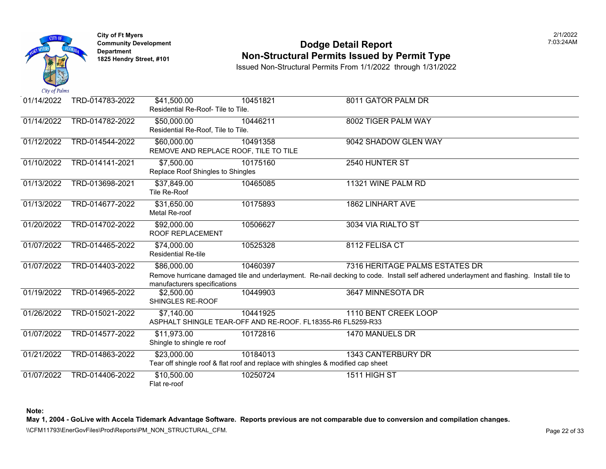

### **Community Development Community Development Community Development Community Dodge Detail Report 1825 Non-Structural Permits Issued by Permit Type**

Issued Non-Structural Permits From 1/1/2022 through 1/31/2022

| 01/14/2022 | TRD-014783-2022 | \$41,500.00<br>Residential Re-Roof-Tile to Tile.     | 10451821                                                                                     | 8011 GATOR PALM DR                                                                                                                   |
|------------|-----------------|------------------------------------------------------|----------------------------------------------------------------------------------------------|--------------------------------------------------------------------------------------------------------------------------------------|
| 01/14/2022 | TRD-014782-2022 | \$50,000.00<br>Residential Re-Roof, Tile to Tile.    | 10446211                                                                                     | 8002 TIGER PALM WAY                                                                                                                  |
| 01/12/2022 | TRD-014544-2022 | \$60,000.00<br>REMOVE AND REPLACE ROOF, TILE TO TILE | 10491358                                                                                     | 9042 SHADOW GLEN WAY                                                                                                                 |
| 01/10/2022 | TRD-014141-2021 | \$7,500.00<br>Replace Roof Shingles to Shingles      | 10175160                                                                                     | 2540 HUNTER ST                                                                                                                       |
| 01/13/2022 | TRD-013698-2021 | \$37,849.00<br>Tile Re-Roof                          | 10465085                                                                                     | 11321 WINE PALM RD                                                                                                                   |
| 01/13/2022 | TRD-014677-2022 | \$31,650.00<br>Metal Re-roof                         | 10175893                                                                                     | <b>1862 LINHART AVE</b>                                                                                                              |
| 01/20/2022 | TRD-014702-2022 | \$92,000.00<br>ROOF REPLACEMENT                      | 10506627                                                                                     | 3034 VIA RIALTO ST                                                                                                                   |
| 01/07/2022 | TRD-014465-2022 | \$74,000.00<br><b>Residential Re-tile</b>            | 10525328                                                                                     | 8112 FELISA CT                                                                                                                       |
| 01/07/2022 | TRD-014403-2022 | \$86,000.00<br>manufacturers specifications          | 10460397                                                                                     | 7316 HERITAGE PALMS ESTATES<br>Remove hurricane damaged tile and underlayment. Re-nail decking to code. Install self adhered underla |
| 01/19/2022 | TRD-014965-2022 | \$2,500.00<br>SHINGLES RE-ROOF                       | 10449903                                                                                     | 3647 MINNESOTA DR                                                                                                                    |
| 01/26/2022 | TRD-015021-2022 | \$7,140.00                                           | 10441925<br>ASPHALT SHINGLE TEAR-OFF AND RE-ROOF. FL18355-R6 FL5259-R33                      | 1110 BENT CREEK LOOP                                                                                                                 |
| 01/07/2022 | TRD-014577-2022 | \$11,973.00<br>Shingle to shingle re roof            | 10172816                                                                                     | 1470 MANUELS DR                                                                                                                      |
| 01/21/2022 | TRD-014863-2022 | \$23,000.00                                          | 10184013<br>Tear off shingle roof & flat roof and replace with shingles & modified cap sheet | 1343 CANTERBURY DR                                                                                                                   |
| 01/07/2022 | TRD-014406-2022 | \$10,500.00<br>Flat re-roof                          | 10250724                                                                                     | 1511 HIGH ST                                                                                                                         |

**Note:**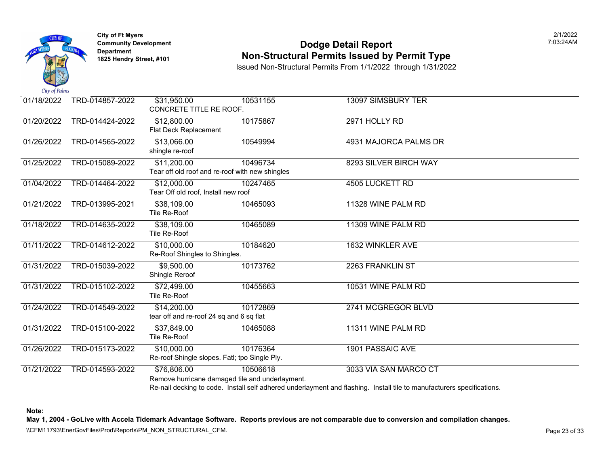

### **Community Development Community Development Community Development Community Dodge Detail Report Non-Structural Permits Issued by Permit Type**

Issued Non-Structural Permits From 1/1/2022 through 1/31/2022

| 01/18/2022 | TRD-014857-2022 | \$31,950.00<br>CONCRETE TITLE RE ROOF.                         | 10531155                                                    | <b>13097 SIMSBURY TER</b>                                                                                                           |
|------------|-----------------|----------------------------------------------------------------|-------------------------------------------------------------|-------------------------------------------------------------------------------------------------------------------------------------|
| 01/20/2022 | TRD-014424-2022 | \$12,800.00<br>Flat Deck Replacement                           | 10175867                                                    | 2971 HOLLY RD                                                                                                                       |
| 01/26/2022 | TRD-014565-2022 | \$13,066.00<br>shingle re-roof                                 | 10549994                                                    | 4931 MAJORCA PALMS DR                                                                                                               |
| 01/25/2022 | TRD-015089-2022 | \$11,200.00<br>Tear off old roof and re-roof with new shingles | 10496734                                                    | 8293 SILVER BIRCH WAY                                                                                                               |
| 01/04/2022 | TRD-014464-2022 | \$12,000.00<br>Tear Off old roof, Install new roof             | 10247465                                                    | <b>4505 LUCKETT RD</b>                                                                                                              |
| 01/21/2022 | TRD-013995-2021 | \$38,109.00<br>Tile Re-Roof                                    | 10465093                                                    | 11328 WINE PALM RD                                                                                                                  |
| 01/18/2022 | TRD-014635-2022 | \$38,109.00<br>Tile Re-Roof                                    | 10465089                                                    | 11309 WINE PALM RD                                                                                                                  |
| 01/11/2022 | TRD-014612-2022 | $\overline{$10,000.00}$<br>Re-Roof Shingles to Shingles.       | 10184620                                                    | 1632 WINKLER AVE                                                                                                                    |
| 01/31/2022 | TRD-015039-2022 | \$9,500.00<br>Shingle Reroof                                   | 10173762                                                    | 2263 FRANKLIN ST                                                                                                                    |
| 01/31/2022 | TRD-015102-2022 | \$72,499.00<br>Tile Re-Roof                                    | 10455663                                                    | 10531 WINE PALM RD                                                                                                                  |
| 01/24/2022 | TRD-014549-2022 | \$14,200.00<br>tear off and re-roof 24 sq and 6 sq flat        | 10172869                                                    | 2741 MCGREGOR BLVD                                                                                                                  |
| 01/31/2022 | TRD-015100-2022 | \$37,849.00<br>Tile Re-Roof                                    | 10465088                                                    | 11311 WINE PALM RD                                                                                                                  |
| 01/26/2022 | TRD-015173-2022 | \$10,000.00<br>Re-roof Shingle slopes. Fatl; tpo Single Ply.   | 10176364                                                    | <b>1901 PASSAIC AVE</b>                                                                                                             |
| 01/21/2022 | TRD-014593-2022 | \$76,806.00                                                    | 10506618<br>Remove hurricane damaged tile and underlayment. | 3033 VIA SAN MARCO CT<br>Re-nail decking to code. Install self adhered underlayment and flashing. Install tile to manufacturers spe |

**Note:**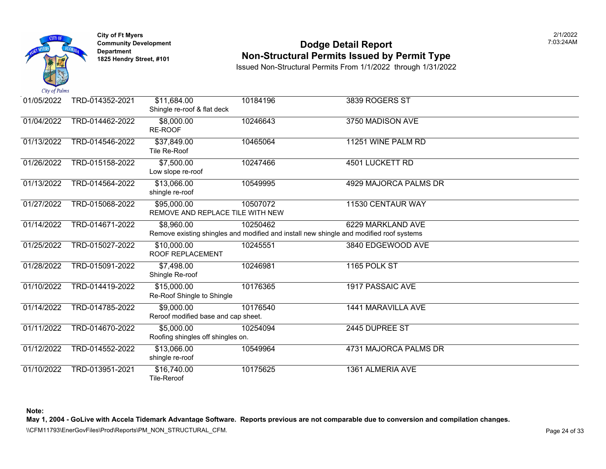

#### **Community Development Community Development Community Development Community Dodge Detail Report 1825 Non-Structural Permits Issued by Permit Type**

Issued Non-Structural Permits From 1/1/2022 through 1/31/2022

| 01/05/2022 | TRD-014352-2021 | \$11,684.00<br>Shingle re-roof & flat deck        | 10184196                                                                                            | 3839 ROGERS ST          |
|------------|-----------------|---------------------------------------------------|-----------------------------------------------------------------------------------------------------|-------------------------|
| 01/04/2022 | TRD-014462-2022 | \$8,000.00<br>RE-ROOF                             | 10246643                                                                                            | 3750 MADISON AVE        |
| 01/13/2022 | TRD-014546-2022 | \$37,849.00<br>Tile Re-Roof                       | 10465064                                                                                            | 11251 WINE PALM RD      |
| 01/26/2022 | TRD-015158-2022 | \$7,500.00<br>Low slope re-roof                   | 10247466                                                                                            | <b>4501 LUCKETT RD</b>  |
| 01/13/2022 | TRD-014564-2022 | \$13,066.00<br>shingle re-roof                    | 10549995                                                                                            | 4929 MAJORCA PALMS DR   |
| 01/27/2022 | TRD-015068-2022 | \$95,000.00<br>REMOVE AND REPLACE TILE WITH NEW   | 10507072                                                                                            | 11530 CENTAUR WAY       |
| 01/14/2022 | TRD-014671-2022 | \$8,960.00                                        | 10250462<br>Remove existing shingles and modified and install new shingle and modified roof systems | 6229 MARKLAND AVE       |
| 01/25/2022 | TRD-015027-2022 | \$10,000.00<br>ROOF REPLACEMENT                   | 10245551                                                                                            | 3840 EDGEWOOD AVE       |
| 01/28/2022 | TRD-015091-2022 | \$7,498.00<br>Shingle Re-roof                     | 10246981                                                                                            | 1165 POLK ST            |
| 01/10/2022 | TRD-014419-2022 | \$15,000.00<br>Re-Roof Shingle to Shingle         | 10176365                                                                                            | <b>1917 PASSAIC AVE</b> |
| 01/14/2022 | TRD-014785-2022 | \$9,000.00<br>Reroof modified base and cap sheet. | 10176540                                                                                            | 1441 MARAVILLA AVE      |
| 01/11/2022 | TRD-014670-2022 | \$5,000.00<br>Roofing shingles off shingles on.   | 10254094                                                                                            | 2445 DUPREE ST          |
| 01/12/2022 | TRD-014552-2022 | \$13,066.00<br>shingle re-roof                    | 10549964                                                                                            | 4731 MAJORCA PALMS DR   |
| 01/10/2022 | TRD-013951-2021 | \$16,740.00<br>Tile-Reroof                        | 10175625                                                                                            | 1361 ALMERIA AVE        |

**Note:**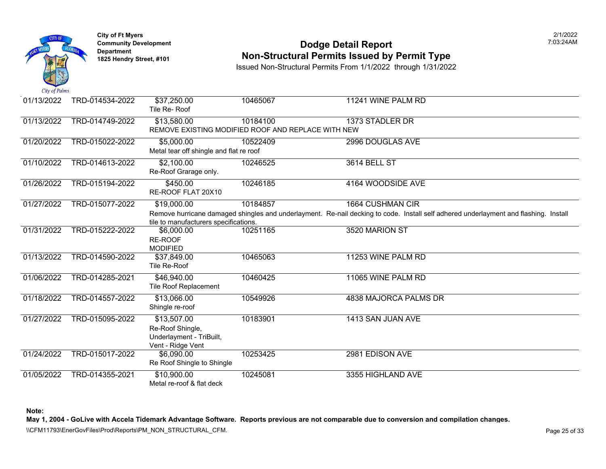

### **Community Development Community Development Community Development Community Dodge Detail Report 1825 Non-Structural Permits Issued by Permit Type**

Issued Non-Structural Permits From 1/1/2022 through 1/31/2022

| 01/13/2022 | TRD-014534-2022 | \$37,250.00<br>Tile Re-Roof             | 10465067                                           | 11241 WINE PALM RD                                                                                  |  |  |  |
|------------|-----------------|-----------------------------------------|----------------------------------------------------|-----------------------------------------------------------------------------------------------------|--|--|--|
| 01/13/2022 | TRD-014749-2022 | \$13,580.00                             | 10184100                                           | 1373 STADLER DR                                                                                     |  |  |  |
|            |                 |                                         | REMOVE EXISTING MODIFIED ROOF AND REPLACE WITH NEW |                                                                                                     |  |  |  |
| 01/20/2022 | TRD-015022-2022 | \$5,000.00                              | 10522409                                           | 2996 DOUGLAS AVE                                                                                    |  |  |  |
|            |                 | Metal tear off shingle and flat re roof |                                                    |                                                                                                     |  |  |  |
| 01/10/2022 | TRD-014613-2022 | \$2,100.00                              | 10246525                                           | <b>3614 BELL ST</b>                                                                                 |  |  |  |
|            |                 | Re-Roof Grarage only.                   |                                                    |                                                                                                     |  |  |  |
| 01/26/2022 | TRD-015194-2022 | \$450.00                                | 10246185                                           | 4164 WOODSIDE AVE                                                                                   |  |  |  |
|            |                 | RE-ROOF FLAT 20X10                      |                                                    |                                                                                                     |  |  |  |
| 01/27/2022 | TRD-015077-2022 | \$19,000.00                             | 10184857                                           | 1664 CUSHMAN CIR                                                                                    |  |  |  |
|            |                 |                                         |                                                    | Remove hurricane damaged shingles and underlayment. Re-nail decking to code. Install self adhered u |  |  |  |
|            |                 | tile to manufacturers specifications.   |                                                    |                                                                                                     |  |  |  |
| 01/31/2022 | TRD-015222-2022 | \$6,000.00                              | 10251165                                           | 3520 MARION ST                                                                                      |  |  |  |
|            |                 | RE-ROOF                                 |                                                    |                                                                                                     |  |  |  |
|            |                 | <b>MODIFIED</b>                         |                                                    |                                                                                                     |  |  |  |
| 01/13/2022 | TRD-014590-2022 | \$37,849.00                             | 10465063                                           | 11253 WINE PALM RD                                                                                  |  |  |  |
|            |                 | Tile Re-Roof                            |                                                    |                                                                                                     |  |  |  |
| 01/06/2022 | TRD-014285-2021 | \$46,940.00                             | 10460425                                           | 11065 WINE PALM RD                                                                                  |  |  |  |
|            |                 | <b>Tile Roof Replacement</b>            |                                                    |                                                                                                     |  |  |  |
| 01/18/2022 | TRD-014557-2022 | \$13,066.00                             | 10549926                                           | 4838 MAJORCA PALMS DR                                                                               |  |  |  |
|            |                 | Shingle re-roof                         |                                                    |                                                                                                     |  |  |  |
| 01/27/2022 | TRD-015095-2022 | \$13,507.00                             | 10183901                                           | 1413 SAN JUAN AVE                                                                                   |  |  |  |
|            |                 | Re-Roof Shingle,                        |                                                    |                                                                                                     |  |  |  |
|            |                 | Underlayment - TriBuilt,                |                                                    |                                                                                                     |  |  |  |
|            |                 | Vent - Ridge Vent                       |                                                    |                                                                                                     |  |  |  |
| 01/24/2022 | TRD-015017-2022 | \$6,090.00                              | 10253425                                           | 2981 EDISON AVE                                                                                     |  |  |  |
|            |                 | Re Roof Shingle to Shingle              |                                                    |                                                                                                     |  |  |  |
| 01/05/2022 | TRD-014355-2021 | \$10,900.00                             | 10245081                                           | 3355 HIGHLAND AVE                                                                                   |  |  |  |
|            |                 | Metal re-roof & flat deck               |                                                    |                                                                                                     |  |  |  |

**Note:**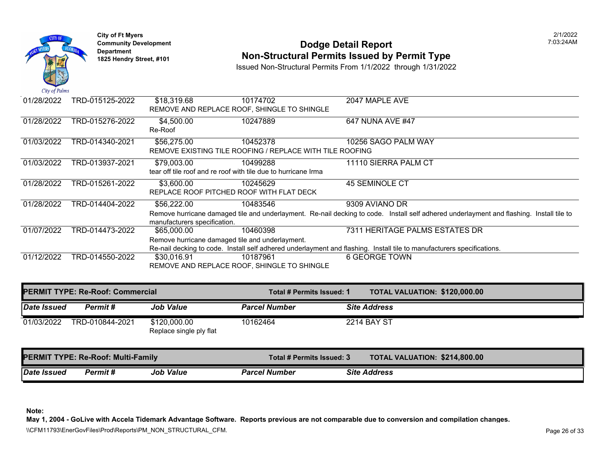

# **Community Development** 7:03:24AM **Dodge Detail Report Department Non-Structural Permits Issued by Permit Type 1825 Hendry Street, #101**

Issued Non-Structural Permits From 1/1/2022 through 1/31/2022

| 01/28/2022<br>TRD-015125-2022<br>\$18,319.68<br>10174702<br>2047 MAPLE AVE<br>REMOVE AND REPLACE ROOF, SHINGLE TO SHINGLE<br>01/28/2022<br>TRD-015276-2022<br>\$4,500.00<br>647 NUNA AVE #47<br>10247889<br>Re-Roof<br>01/03/2022<br>TRD-014340-2021<br>10256 SAGO PALM WAY<br>\$56,275.00<br>10452378<br>REMOVE EXISTING TILE ROOFING / REPLACE WITH TILE ROOFING<br>01/03/2022<br>TRD-013937-2021<br>\$79,003.00<br>11110 SIERRA PALM CT<br>10499288<br>tear off tile roof and re roof with tile due to hurricane Irma<br>01/28/2022<br>TRD-015261-2022<br><b>45 SEMINOLE CT</b><br>\$3,600.00<br>10245629<br>REPLACE ROOF PITCHED ROOF WITH FLAT DECK<br>01/28/2022<br>9309 AVIANO DR<br>TRD-014404-2022<br>\$56,222.00<br>10483546<br>Remove hurricane damaged tile and underlayment. Re-nail decking to code. Install self adhered underl<br>manufacturers specification.<br>01/07/2022<br>TRD-014473-2022<br>10460398<br>\$65,000.00<br>Remove hurricane damaged tile and underlayment.<br>Re-nail decking to code. Install self adhered underlayment and flashing. Install tile to manufacturers spe<br>01/12/2022<br>TRD-014550-2022<br>6 GEORGE TOWN<br>\$30,016.91<br>10187961<br>REMOVE AND REPLACE ROOF, SHINGLE TO SHINGLE | $\mathbf{u}$ $\mathbf{v}$ $\mathbf{v}$ $\mathbf{v}$ $\mathbf{v}$ $\mathbf{v}$ |  |                             |
|-----------------------------------------------------------------------------------------------------------------------------------------------------------------------------------------------------------------------------------------------------------------------------------------------------------------------------------------------------------------------------------------------------------------------------------------------------------------------------------------------------------------------------------------------------------------------------------------------------------------------------------------------------------------------------------------------------------------------------------------------------------------------------------------------------------------------------------------------------------------------------------------------------------------------------------------------------------------------------------------------------------------------------------------------------------------------------------------------------------------------------------------------------------------------------------------------------------------------------------------|-------------------------------------------------------------------------------|--|-----------------------------|
|                                                                                                                                                                                                                                                                                                                                                                                                                                                                                                                                                                                                                                                                                                                                                                                                                                                                                                                                                                                                                                                                                                                                                                                                                                         |                                                                               |  |                             |
|                                                                                                                                                                                                                                                                                                                                                                                                                                                                                                                                                                                                                                                                                                                                                                                                                                                                                                                                                                                                                                                                                                                                                                                                                                         |                                                                               |  |                             |
|                                                                                                                                                                                                                                                                                                                                                                                                                                                                                                                                                                                                                                                                                                                                                                                                                                                                                                                                                                                                                                                                                                                                                                                                                                         |                                                                               |  |                             |
|                                                                                                                                                                                                                                                                                                                                                                                                                                                                                                                                                                                                                                                                                                                                                                                                                                                                                                                                                                                                                                                                                                                                                                                                                                         |                                                                               |  |                             |
|                                                                                                                                                                                                                                                                                                                                                                                                                                                                                                                                                                                                                                                                                                                                                                                                                                                                                                                                                                                                                                                                                                                                                                                                                                         |                                                                               |  |                             |
|                                                                                                                                                                                                                                                                                                                                                                                                                                                                                                                                                                                                                                                                                                                                                                                                                                                                                                                                                                                                                                                                                                                                                                                                                                         |                                                                               |  |                             |
|                                                                                                                                                                                                                                                                                                                                                                                                                                                                                                                                                                                                                                                                                                                                                                                                                                                                                                                                                                                                                                                                                                                                                                                                                                         |                                                                               |  | 7311 HERITAGE PALMS ESTATES |
|                                                                                                                                                                                                                                                                                                                                                                                                                                                                                                                                                                                                                                                                                                                                                                                                                                                                                                                                                                                                                                                                                                                                                                                                                                         |                                                                               |  |                             |

|                                           | <b>PERMIT TYPE: Re-Roof: Commercial</b> |                                         | Total # Permits Issued: 1 |  |                     | <b>TOTAL VALUATION: \$120,00</b> |
|-------------------------------------------|-----------------------------------------|-----------------------------------------|---------------------------|--|---------------------|----------------------------------|
| Date Issued                               | Permit#                                 | <b>Job Value</b>                        | <b>Parcel Number</b>      |  | <b>Site Address</b> |                                  |
| 01/03/2022                                | TRD-010844-2021                         | \$120,000.00<br>Replace single ply flat | 10162464                  |  | <b>2214 BAY ST</b>  |                                  |
| <b>PERMIT TYPE: Re-Roof: Multi-Family</b> |                                         |                                         | Total # Permits Issued: 3 |  |                     | <b>TOTAL VALUATION: \$214,80</b> |
| <b>Date Issued</b>                        | Permit#                                 | <b>Job Value</b>                        | <b>Parcel Number</b>      |  | <b>Site Address</b> |                                  |

**Note:**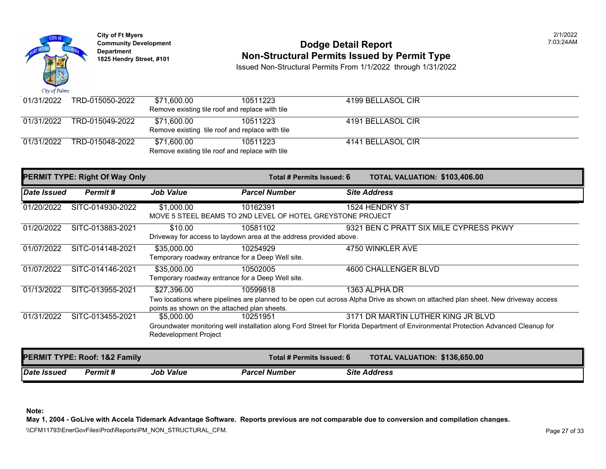

## **Community Development 1825 Community Development 1825 Hendry Street, #101** 203:24AM **Department Non-Structural Permits Issued by Permit Type** 1825 Hendry Street, #101

Issued Non-Structural Permits From 1/1/2022 through 1/31/2022

| 01/31/2022 | TRD-015050-2022 | \$71.600.00<br>Remove existing tile roof and replace with tile | 10511223 | 4199 BELLASOL CIR |
|------------|-----------------|----------------------------------------------------------------|----------|-------------------|
| 01/31/2022 | TRD-015049-2022 | \$71.600.00<br>Remove existing tile roof and replace with tile | 10511223 | 4191 BELLASOL CIR |
| 01/31/2022 | TRD-015048-2022 | \$71,600.00<br>Remove existing tile roof and replace with tile | 10511223 | 4141 BELLASOL CIR |

| <b>PERMIT TYPE: Right Of Way Only</b> |                                          |                                                                 | Total # Permits Issued: 6                                                      | <b>TOTAL VALUATION: \$103,406.00</b>                                                                                                                                     |
|---------------------------------------|------------------------------------------|-----------------------------------------------------------------|--------------------------------------------------------------------------------|--------------------------------------------------------------------------------------------------------------------------------------------------------------------------|
| Date Issued                           | Permit#                                  | <b>Job Value</b>                                                | <b>Parcel Number</b>                                                           | <b>Site Address</b>                                                                                                                                                      |
| 01/20/2022                            | SITC-014930-2022                         | \$1,000.00                                                      | 10162391<br>MOVE 5 STEEL BEAMS TO 2ND LEVEL OF HOTEL GREYSTONE PROJECT         | 1524 HENDRY ST                                                                                                                                                           |
| 01/20/2022                            | SITC-013883-2021                         | \$10.00                                                         | 10581102<br>Driveway for access to laydown area at the address provided above. | 9321 BEN C PRATT SIX MILE CYPRESS PKWY                                                                                                                                   |
| 01/07/2022                            | SITC-014148-2021                         | \$35,000.00<br>Temporary roadway entrance for a Deep Well site. | 10254929                                                                       | 4750 WINKLER AVE                                                                                                                                                         |
| 01/07/2022                            | SITC-014146-2021                         | \$35,000.00<br>Temporary roadway entrance for a Deep Well site. | 10502005                                                                       | 4600 CHALLENGER BLVD                                                                                                                                                     |
| $\overline{01}/13/2022$               | SITC-013955-2021                         | \$27,396.00<br>points as shown on the attached plan sheets.     | 10599818                                                                       | 1363 ALPHA DR<br>Two locations where pipelines are planned to be open cut across Alpha Drive as shown on attached plan sheet. New driveway access                        |
| 01/31/2022                            | SITC-013455-2021                         | \$5,000.00<br>Redevelopment Project                             | 10251951                                                                       | 3171 DR MARTIN LUTHER KING JR BLVD<br>Groundwater monitoring well installation along Ford Street for Florida Department of Environmental Protection Advanced Cleanup for |
|                                       | <b>PERMIT TYPE: Roof: 1&amp;2 Family</b> |                                                                 | Total # Permits Issued: 6                                                      | TOTAL VALUATION: \$136,650.00                                                                                                                                            |
| Date Issued                           | Permit#                                  | <b>Job Value</b>                                                | <b>Parcel Number</b>                                                           | <b>Site Address</b>                                                                                                                                                      |

**Note:** 

**May 1, 2004 - GoLive with Accela Tidemark Advantage Software. Reports previous are not comparable due to conversion and compilation changes.**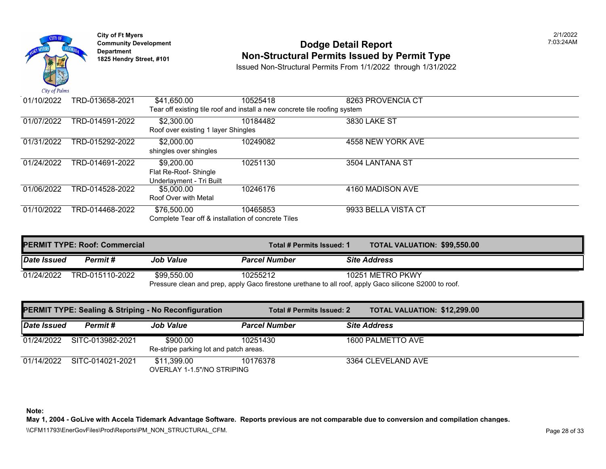

# Community Development **1:03:23:23:24AM IDODGe Detail Report** Dodge Detail Report<br>Department Department Department Attural Permits Issued by Permit Type 1825 Hendry Street, #101

Issued Non-Structural Permits From 1/1/2022 through 1/31/2022

| 01/10/2022 | TRD-013658-2021                                                            | \$41,650.00                                        | 10525418 | 8263 PROVENCIA CT   |  |  |  |
|------------|----------------------------------------------------------------------------|----------------------------------------------------|----------|---------------------|--|--|--|
|            | Tear off existing tile roof and install a new concrete tile roofing system |                                                    |          |                     |  |  |  |
| 01/07/2022 | TRD-014591-2022                                                            | \$2,300.00                                         | 10184482 | <b>3830 LAKE ST</b> |  |  |  |
|            |                                                                            | Roof over existing 1 layer Shingles                |          |                     |  |  |  |
| 01/31/2022 | TRD-015292-2022                                                            | \$2,000.00                                         | 10249082 | 4558 NEW YORK AVE   |  |  |  |
|            |                                                                            | shingles over shingles                             |          |                     |  |  |  |
| 01/24/2022 | TRD-014691-2022                                                            | \$9,200.00                                         | 10251130 | 3504 LANTANA ST     |  |  |  |
|            |                                                                            | Flat Re-Roof- Shingle                              |          |                     |  |  |  |
|            |                                                                            | Underlayment - Tri Built                           |          |                     |  |  |  |
| 01/06/2022 | TRD-014528-2022                                                            | \$5,000.00                                         | 10246176 | 4160 MADISON AVE    |  |  |  |
|            |                                                                            | Roof Over with Metal                               |          |                     |  |  |  |
| 01/10/2022 | TRD-014468-2022                                                            | \$76,500.00                                        | 10465853 | 9933 BELLA VISTA CT |  |  |  |
|            |                                                                            | Complete Tear off & installation of concrete Tiles |          |                     |  |  |  |

| <b>PERMIT TYPE: Roof: Commercial</b> |                 |                  | Total # Permits Issued: 1 | <b>TOTAL VALUATION: \$99,550</b>                                                                       |
|--------------------------------------|-----------------|------------------|---------------------------|--------------------------------------------------------------------------------------------------------|
| Date Issued                          | Permit #        | <b>Job Value</b> | <b>Parcel Number</b>      | <b>Site Address</b>                                                                                    |
| 01/24/2022                           | TRD-015110-2022 | \$99.550.00      | 10255212                  | 10251 METRO PKWY                                                                                       |
|                                      |                 |                  |                           | Pressure clean and prep, apply Gaco firestone urethane to all roof, apply Gaco silicone S2000 to roof. |

|                    |                  | <b>PERMIT TYPE: Sealing &amp; Striping - No Reconfiguration</b> | Total # Permits Issued: 2 |  | <b>TOTAL VALUATION: \$12,299</b> |
|--------------------|------------------|-----------------------------------------------------------------|---------------------------|--|----------------------------------|
| <b>Date Issued</b> | Permit #         | <b>Job Value</b>                                                | <b>Parcel Number</b>      |  | <b>Site Address</b>              |
| 01/24/2022         | SITC-013982-2021 | \$900.00<br>Re-stripe parking lot and patch areas.              | 10251430                  |  | 1600 PALMETTO AVE                |
| 01/14/2022         | SITC-014021-2021 | \$11,399.00<br>OVERLAY 1-1.5"/NO STRIPING                       | 10176378                  |  | 3364 CLEVELAND AVE               |

**Note:**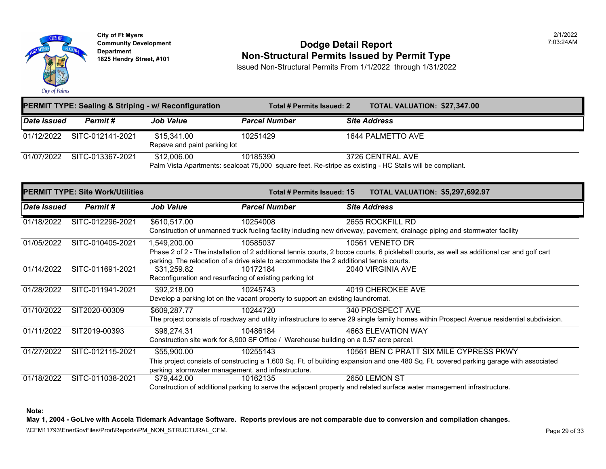

**City of Ft Myers Community Development Department 1825 Hendry Street, #101** 

#### **Dodge Detail Report Non-Structural Permits Issued by Permit Type**

Issued Non-Structural Permits From 1/1/2022 through 1/31/2022

|                    |                                         | <b>PERMIT TYPE: Sealing &amp; Striping - w/ Reconfiguration</b>        | <b>Total # Permits Issued: 2</b>                                                                                     | TOTAL VALUATION: \$27,347.00                                                                                                                                                      |
|--------------------|-----------------------------------------|------------------------------------------------------------------------|----------------------------------------------------------------------------------------------------------------------|-----------------------------------------------------------------------------------------------------------------------------------------------------------------------------------|
| <b>Date Issued</b> | Permit#                                 | <b>Job Value</b>                                                       | <b>Parcel Number</b>                                                                                                 | <b>Site Address</b>                                                                                                                                                               |
| 01/12/2022         | SITC-012141-2021                        | \$15,341.00<br>Repave and paint parking lot                            | 10251429                                                                                                             | 1644 PALMETTO AVE                                                                                                                                                                 |
| 01/07/2022         | SITC-013367-2021                        | \$12,006.00                                                            | 10185390<br>Palm Vista Apartments: sealcoat 75,000 square feet. Re-stripe as existing - HC Stalls will be compliant. | 3726 CENTRAL AVE                                                                                                                                                                  |
|                    | <b>PERMIT TYPE: Site Work/Utilities</b> |                                                                        | Total # Permits Issued: 15                                                                                           | <b>TOTAL VALUATION: \$5,297,692.97</b>                                                                                                                                            |
| <b>Date Issued</b> | Permit#                                 | <b>Job Value</b>                                                       | <b>Parcel Number</b>                                                                                                 | <b>Site Address</b>                                                                                                                                                               |
| 01/18/2022         | SITC-012296-2021                        | \$610,517.00                                                           | 10254008                                                                                                             | 2655 ROCKFILL RD<br>Construction of unmanned truck fueling facility including new driveway, pavement, drainage piping and stormwater facility                                     |
| 01/05/2022         | SITC-010405-2021                        | 1,549,200.00                                                           | 10585037<br>parking. The relocation of a drive aisle to accommodate the 2 additional tennis courts.                  | 10561 VENETO DR<br>Phase 2 of 2 - The installation of 2 additional tennis courts, 2 bocce courts, 6 pickleball courts, as well as additional car and golf cart                    |
| 01/14/2022         | SITC-011691-2021                        | \$31,259.82<br>Reconfiguration and resurfacing of existing parking lot | 10172184                                                                                                             | 2040 VIRGINIA AVE                                                                                                                                                                 |
| 01/28/2022         | SITC-011941-2021                        | \$92,218.00                                                            | 10245743<br>Develop a parking lot on the vacant property to support an existing laundromat.                          | 4019 CHEROKEE AVE                                                                                                                                                                 |
| 01/10/2022         | SIT2020-00309                           | \$609,287.77                                                           | 10244720                                                                                                             | 340 PROSPECT AVE<br>The project consists of roadway and utility infrastructure to serve 29 single family homes within Prospect Avenue residential subdivision.                    |
| 01/11/2022         | SIT2019-00393                           | \$98,274.31                                                            | 10486184<br>Construction site work for 8,900 SF Office / Warehouse building on a 0.57 acre parcel.                   | <b>4663 ELEVATION WAY</b>                                                                                                                                                         |
| 01/27/2022         | SITC-012115-2021                        | \$55,900.00<br>parking, stormwater management, and infrastructure.     | 10255143                                                                                                             | 10561 BEN C PRATT SIX MILE CYPRESS PKWY<br>This project consists of constructing a 1,600 Sq. Ft. of building expansion and one 480 Sq. Ft. covered parking garage with associated |
| 01/18/2022         | SITC-011038-2021                        | \$79,442.00                                                            | 10162135                                                                                                             | 2650 LEMON ST<br>Construction of additional parking to serve the adjacent property and related surface water management infrastructure.                                           |

**Note:** 

**May 1, 2004 - GoLive with Accela Tidemark Advantage Software. Reports previous are not comparable due to conversion and compilation changes.** 

\\CFM11793\EnerGovFiles\Prod\Reports\PM\_NON\_STRUCTURAL\_CFM.<br>Rage 29 of 33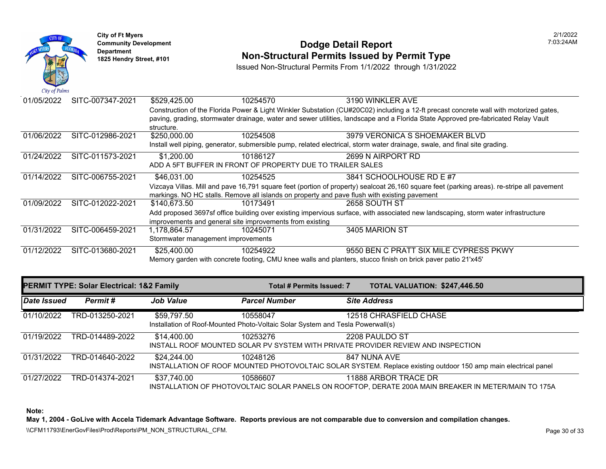

#### **Community Development Dodge Detail Report** 7:03:24AM **1825 Non-Structural Permits Issued by Permit Type**

Issued Non-Structural Permits From 1/1/2022 through 1/31/2022

| 01/05/2022 | SITC-007347-2021 | \$529,425.00                                                                                                                          | 10254570                                                                                     | 3190 WINKLER AVE                                                                                                                           |  |  |
|------------|------------------|---------------------------------------------------------------------------------------------------------------------------------------|----------------------------------------------------------------------------------------------|--------------------------------------------------------------------------------------------------------------------------------------------|--|--|
|            |                  | Construction of the Florida Power & Light Winkler Substation (CU#20C02) including a 12-ft precast concrete wall with motorized gates, |                                                                                              |                                                                                                                                            |  |  |
|            |                  |                                                                                                                                       |                                                                                              | paving, grading, stormwater drainage, water and sewer utilities, landscape and a Florida State Approved pre-fabricated Relay Vault         |  |  |
|            |                  | structure.                                                                                                                            |                                                                                              |                                                                                                                                            |  |  |
| 01/06/2022 | SITC-012986-2021 | \$250,000.00                                                                                                                          | 10254508                                                                                     | 3979 VERONICA S SHOEMAKER BLVD                                                                                                             |  |  |
|            |                  |                                                                                                                                       |                                                                                              | Install well piping, generator, submersible pump, related electrical, storm water drainage, swale, and final site grading.                 |  |  |
| 01/24/2022 | SITC-011573-2021 | \$1,200.00                                                                                                                            | 10186127                                                                                     | 2699 N AIRPORT RD                                                                                                                          |  |  |
|            |                  |                                                                                                                                       | ADD A 5FT BUFFER IN FRONT OF PROPERTY DUE TO TRAILER SALES                                   |                                                                                                                                            |  |  |
| 01/14/2022 | SITC-006755-2021 | \$46,031.00                                                                                                                           | 10254525                                                                                     | 3841 SCHOOLHOUSE RD E #7                                                                                                                   |  |  |
|            |                  |                                                                                                                                       |                                                                                              | Vizcaya Villas. Mill and pave 16,791 square feet (portion of property) sealcoat 26,160 square feet (parking areas). re-stripe all pavement |  |  |
|            |                  |                                                                                                                                       | markings. NO HC stalls. Remove all islands on property and pave flush with existing pavement |                                                                                                                                            |  |  |
| 01/09/2022 | SITC-012022-2021 | \$140.673.50                                                                                                                          | 10173491                                                                                     | 2658 SOUTH ST                                                                                                                              |  |  |
|            |                  |                                                                                                                                       |                                                                                              | Add proposed 3697sf office building over existing impervious surface, with associated new landscaping, storm water infrastructure          |  |  |
|            |                  |                                                                                                                                       | improvements and general site improvements from existing                                     |                                                                                                                                            |  |  |
| 01/31/2022 | SITC-006459-2021 | 1,178,864.57                                                                                                                          | 10245071                                                                                     | 3405 MARION ST                                                                                                                             |  |  |
|            |                  | Stormwater management improvements                                                                                                    |                                                                                              |                                                                                                                                            |  |  |
| 01/12/2022 | SITC-013680-2021 | \$25,400.00                                                                                                                           | 10254922                                                                                     | 9550 BEN C PRATT SIX MILE CYPRESS PKWY                                                                                                     |  |  |
|            |                  | Memory garden with concrete footing, CMU knee walls and planters, stucco finish on brick paver patio 21'x45'                          |                                                                                              |                                                                                                                                            |  |  |

| <b>PERMIT TYPE: Solar Electrical: 1&amp;2 Family</b> |                 |                  | Total # Permits Issued: 7                                                                  | TOTAL VALUATION: \$247,446.50                                                                                                  |
|------------------------------------------------------|-----------------|------------------|--------------------------------------------------------------------------------------------|--------------------------------------------------------------------------------------------------------------------------------|
| Date Issued                                          | Permit#         | <b>Job Value</b> | <b>Parcel Number</b>                                                                       | <b>Site Address</b>                                                                                                            |
| 01/10/2022                                           | TRD-013250-2021 | \$59,797.50      | 10558047<br>Installation of Roof-Mounted Photo-Voltaic Solar System and Tesla Powerwall(s) | 12518 CHRASFIELD CHASE                                                                                                         |
| 01/19/2022                                           | TRD-014489-2022 | \$14,400.00      | 10253276                                                                                   | 2208 PAULDO ST<br>INSTALL ROOF MOUNTED SOLAR PV SYSTEM WITH PRIVATE PROVIDER REVIEW AND INSPECTION                             |
| 01/31/2022                                           | TRD-014640-2022 | \$24,244.00      | 10248126                                                                                   | 847 NUNA AVE<br>INSTALLATION OF ROOF MOUNTED PHOTOVOLTAIC SOLAR SYSTEM. Replace existing outdoor 150 amp main electrical panel |
| 01/27/2022                                           | TRD-014374-2021 | \$37,740.00      | 10586607                                                                                   | 11888 ARBOR TRACE DR<br>INSTALLATION OF PHOTOVOLTAIC SOLAR PANELS ON ROOFTOP, DERATE 200A MAIN BREAKER IN METER/MAIN TO 175A   |

**Note:** 

**May 1, 2004 - GoLive with Accela Tidemark Advantage Software. Reports previous are not comparable due to conversion and compilation changes.** 

\\CFM11793\EnerGovFiles\Prod\Reports\PM\_NON\_STRUCTURAL\_CFM.<br>Rage 30 of 33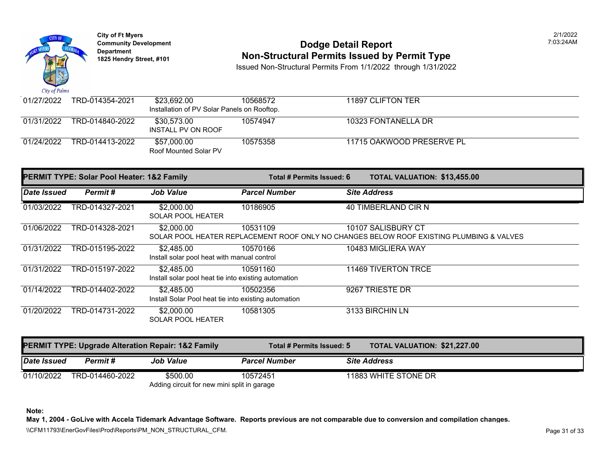

## **Community Development 1825 Community Development 1825 Hendry Street, #101** 203:24AM **Department Non-Structural Permits Issued by Permit Type** 1825 Hendry Street, #101

Issued Non-Structural Permits From 1/1/2022 through 1/31/2022

| 01/27/2022 | TRD-014354-2021 | \$23.692.00<br>Installation of PV Solar Panels on Rooftop. | 10568572 | 11897 CLIFTON TER         |
|------------|-----------------|------------------------------------------------------------|----------|---------------------------|
| 01/31/2022 | TRD-014840-2022 | \$30.573.00<br>INSTALL PV ON ROOF                          | 10574947 | 10323 FONTANELLA DR       |
| 01/24/2022 | TRD-014413-2022 | \$57.000.00<br>Roof Mounted Solar PV                       | 10575358 | 11715 OAKWOOD PRESERVE PL |

| <b>PERMIT TYPE: Solar Pool Heater: 1&amp;2 Family</b> |                 |                                                                    | Total # Permits Issued: 6 | TOTAL VALUATION: \$13,455.00                                                                                   |
|-------------------------------------------------------|-----------------|--------------------------------------------------------------------|---------------------------|----------------------------------------------------------------------------------------------------------------|
| Date Issued                                           | Permit#         | <b>Job Value</b>                                                   | <b>Parcel Number</b>      | <b>Site Address</b>                                                                                            |
| 01/03/2022                                            | TRD-014327-2021 | \$2,000.00<br><b>SOLAR POOL HEATER</b>                             | 10186905                  | 40 TIMBERLAND CIR N                                                                                            |
| 01/06/2022                                            | TRD-014328-2021 | \$2,000.00                                                         | 10531109                  | 10107 SALISBURY CT<br>SOLAR POOL HEATER REPLACEMENT ROOF ONLY NO CHANGES BELOW ROOF EXISTING PLUMBING & VALVES |
| 01/31/2022                                            | TRD-015195-2022 | \$2,485.00<br>Install solar pool heat with manual control          | 10570166                  | 10483 MIGLIERA WAY                                                                                             |
| 01/31/2022                                            | TRD-015197-2022 | \$2,485.00<br>Install solar pool heat tie into existing automation | 10591160                  | 11469 TIVERTON TRCE                                                                                            |
| 01/14/2022                                            | TRD-014402-2022 | \$2,485.00<br>Install Solar Pool heat tie into existing automation | 10502356                  | 9267 TRIESTE DR                                                                                                |
| 01/20/2022                                            | TRD-014731-2022 | \$2,000.00<br><b>SOLAR POOL HEATER</b>                             | 10581305                  | 3133 BIRCHIN LN                                                                                                |

| <b>PERMIT TYPE: Upgrade Alteration Repair: 1&amp;2 Family</b> |                                             | Total # Permits Issued: 5 | <b>TOTAL VALUATION: \$21,227.00</b> |                      |  |
|---------------------------------------------------------------|---------------------------------------------|---------------------------|-------------------------------------|----------------------|--|
| Date Issued                                                   | Permit #                                    | <b>Job Value</b>          | <b>Parcel Number</b>                | <b>Site Address</b>  |  |
| 01/10/2022                                                    | TRD-014460-2022                             | \$500.00                  | 10572451                            | 11883 WHITE STONE DR |  |
|                                                               | Adding circuit for new mini split in garage |                           |                                     |                      |  |

**Note:** 

**May 1, 2004 - GoLive with Accela Tidemark Advantage Software. Reports previous are not comparable due to conversion and compilation changes.** 

\\CFM11793\EnerGovFiles\Prod\Reports\PM\_NON\_STRUCTURAL\_CFM.<br>Page 31 of 33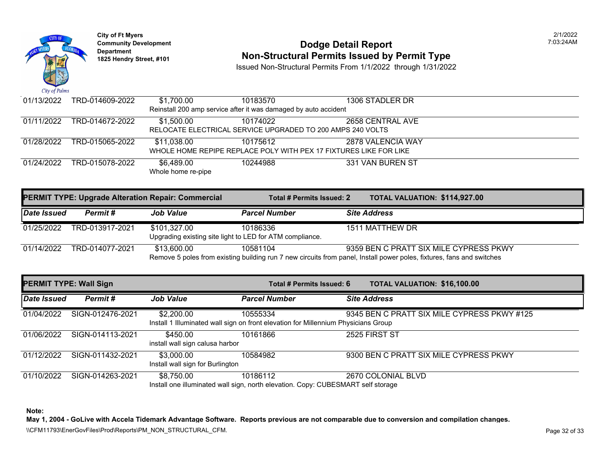

# **Community Development** 7:03:24AM **Dodge Detail Report Department Non-Structural Permits Issued by Permit Type 1825 Hendry Street, #101**

Issued Non-Structural Permits From 1/1/2022 through 1/31/2022

| 01/13/2022 | TRD-014609-2022                                                 | \$1,700.00         | 10183570                                                          | 1306 STADLER DR   |  |
|------------|-----------------------------------------------------------------|--------------------|-------------------------------------------------------------------|-------------------|--|
|            | Reinstall 200 amp service after it was damaged by auto accident |                    |                                                                   |                   |  |
| 01/11/2022 | TRD-014672-2022                                                 | \$1,500.00         | 10174022                                                          | 2658 CENTRAL AVE  |  |
|            | RELOCATE ELECTRICAL SERVICE UPGRADED TO 200 AMPS 240 VOLTS      |                    |                                                                   |                   |  |
| 01/28/2022 | TRD-015065-2022                                                 | \$11,038.00        | 10175612                                                          | 2878 VALENCIA WAY |  |
|            |                                                                 |                    | WHOLE HOME REPIPE REPLACE POLY WITH PEX 17 FIXTURES LIKE FOR LIKE |                   |  |
| 01/24/2022 | TRD-015078-2022                                                 | \$6,489.00         | 10244988                                                          | 331 VAN BUREN ST  |  |
|            |                                                                 | Whole home re-pipe |                                                                   |                   |  |

| <b>PERMIT TYPE: Upgrade Alteration Repair: Commercial</b> |                 |                                                                          | Total # Permits Issued: 2 | <b>TOTAL VALUATION: \$114,92</b>                                                                                                             |
|-----------------------------------------------------------|-----------------|--------------------------------------------------------------------------|---------------------------|----------------------------------------------------------------------------------------------------------------------------------------------|
| Date Issued                                               | Permit #        | <b>Job Value</b>                                                         | <b>Parcel Number</b>      | <b>Site Address</b>                                                                                                                          |
| 01/25/2022                                                | TRD-013917-2021 | \$101,327.00<br>Upgrading existing site light to LED for ATM compliance. | 10186336                  | 1511 MATTHEW DR                                                                                                                              |
| 01/14/2022                                                | TRD-014077-2021 | \$13,600.00                                                              | 10581104                  | 9359 BEN C PRATT SIX MILE CYP<br>Remove 5 poles from existing building run 7 new circuits from panel, Install power poles, fixtures, fans an |

| <b>PERMIT TYPE: Wall Sign</b> |                  |                                                | Total # Permits Issued: 6                                                                      | <b>TOTAL VALUATION: \$16,100</b> |
|-------------------------------|------------------|------------------------------------------------|------------------------------------------------------------------------------------------------|----------------------------------|
| Date Issued                   | Permit#          | <b>Job Value</b>                               | <b>Parcel Number</b>                                                                           | <b>Site Address</b>              |
| 01/04/2022                    | SIGN-012476-2021 | \$2,200.00                                     | 10555334<br>Install 1 Illuminated wall sign on front elevation for Millennium Physicians Group | 9345 BEN C PRATT SIX MILE CYP    |
| 01/06/2022                    | SIGN-014113-2021 | \$450.00<br>install wall sign calusa harbor    | 10161866                                                                                       | 2525 FIRST ST                    |
| 01/12/2022                    | SIGN-011432-2021 | \$3,000.00<br>Install wall sign for Burlington | 10584982                                                                                       | 9300 BEN C PRATT SIX MILE CYP    |
| 01/10/2022                    | SIGN-014263-2021 | \$8,750.00                                     | 10186112<br>Install one illuminated wall sign, north elevation. Copy: CUBESMART self storage   | 2670 COLONIAL BLVD               |

**Note:**